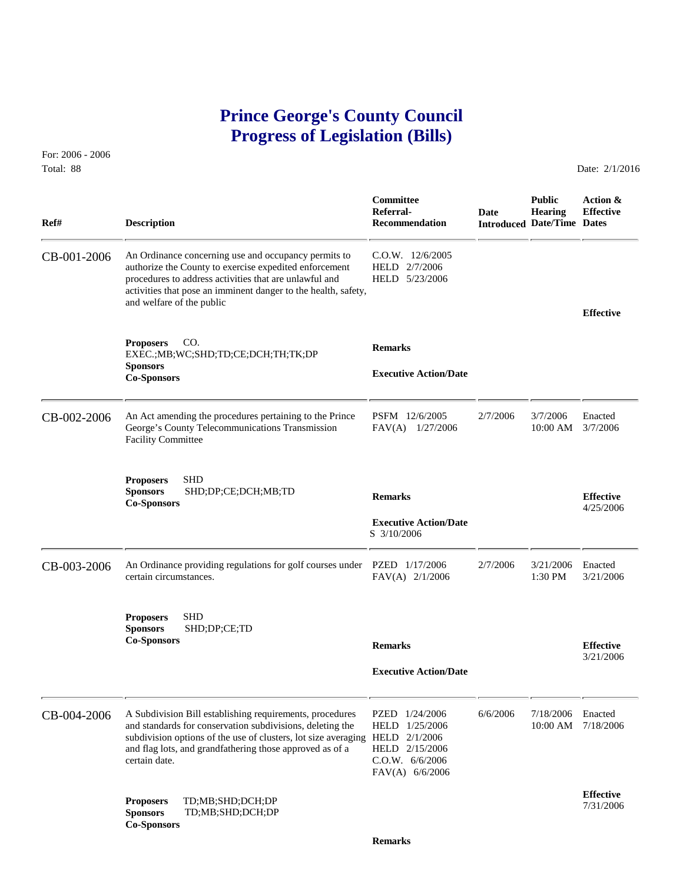# **Prince George's County Council Progress of Legislation (Bills)**

For: 2006 - 2006 Total: 88 Date: 2/1/2016

 **Committee Public Action & Referral- Date Hearing Effective Ref# Description Recommendation Introduced Date/Time Dates** CB-001-2006 An Ordinance concerning use and occupancy permits to C.O.W. 12/6/2005<br>authorize the County to exercise expedited enforcement HELD 2/7/2006 authorize the County to exercise expedited enforcement procedures to address activities that are unlawful and HELD 5/23/2006 activities that pose an imminent danger to the health, safety, and welfare of the public **Effective Proposers** CO. **Remarks** EXEC.;MB;WC;SHD;TD;CE;DCH;TH;TK;DP **Sponsors Executive Action/Date Co-Sponsors**  CB-002-2006 An Act amending the procedures pertaining to the Prince PSFM 12/6/2005 2/7/2006 3/7/2006 Enacted George's County Telecommunications Transmission FAV(A) 1/27/2006 10:00 AM 3/7/2006 George's County Telecommunications Transmission Facility Committee **Proposers** SHD **Sponsors** SHD;DP;CE;DCH;MB;TD **Remarks Effective Effective Effective Effective Effective Exponsors Executive Action/Date** S 3/10/2006 CB-003-2006 An Ordinance providing regulations for golf courses under PZED 1/17/2006 2/7/2006 3/21/2006 Enacted<br>FAV(A) 2/1/2006 1:30 PM 3/21/2006 certain circumstances. **Proposers** SHD **Sponsors** SHD;DP;CE;TD **Co-Sponsors Remarks Effective** 3/21/2006  **Executive Action/Date** CB-004-2006 A Subdivision Bill establishing requirements, procedures PZED 1/24/2006 6/6/2006 7/18/2006 and standards for conservation subdivisions, deleting the HELD 1/25/2006 10:00 AM 7/18/2006 and standards for conservation subdivisions, deleting the subdivision options of the use of clusters, lot size averaging HELD 2/1/2006 and flag lots, and grandfathering those approved as of a HELD 2/15/2006 certain date. C.O.W. 6/6/2006 FAV(A) 6/6/2006 **Effective Proposers** TD;MB;SHD;DCH;DP 7/31/2006 **Sponsors** TD;MB;SHD;DCH;DP **Co-Sponsors**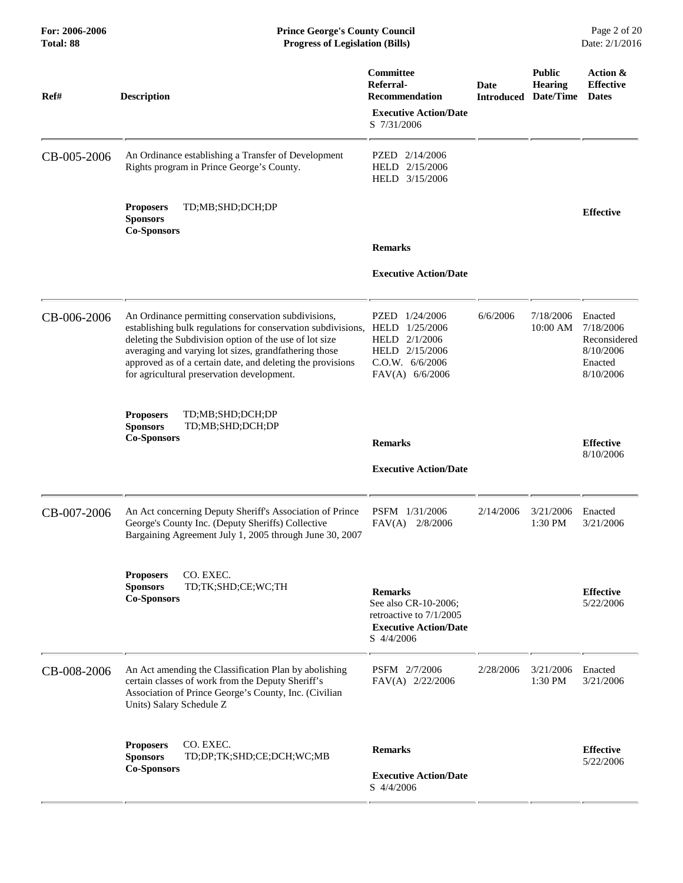| Ref#        | <b>Description</b>                                                                                                                                                                                                                                                                                                                                               | Committee<br>Referral-<br><b>Recommendation</b><br><b>Executive Action/Date</b><br>S 7/31/2006                    | Date<br>Introduced | <b>Public</b><br><b>Hearing</b><br>Date/Time | Action &<br><b>Effective</b><br><b>Dates</b>                              |
|-------------|------------------------------------------------------------------------------------------------------------------------------------------------------------------------------------------------------------------------------------------------------------------------------------------------------------------------------------------------------------------|-------------------------------------------------------------------------------------------------------------------|--------------------|----------------------------------------------|---------------------------------------------------------------------------|
| CB-005-2006 | An Ordinance establishing a Transfer of Development<br>Rights program in Prince George's County.                                                                                                                                                                                                                                                                 | PZED 2/14/2006<br>HELD 2/15/2006<br>HELD 3/15/2006                                                                |                    |                                              |                                                                           |
|             | TD;MB;SHD;DCH;DP<br><b>Proposers</b><br><b>Sponsors</b><br><b>Co-Sponsors</b>                                                                                                                                                                                                                                                                                    |                                                                                                                   |                    |                                              | <b>Effective</b>                                                          |
|             |                                                                                                                                                                                                                                                                                                                                                                  | <b>Remarks</b>                                                                                                    |                    |                                              |                                                                           |
|             |                                                                                                                                                                                                                                                                                                                                                                  | <b>Executive Action/Date</b>                                                                                      |                    |                                              |                                                                           |
| CB-006-2006 | An Ordinance permitting conservation subdivisions,<br>establishing bulk regulations for conservation subdivisions, HELD 1/25/2006<br>deleting the Subdivision option of the use of lot size<br>averaging and varying lot sizes, grandfathering those<br>approved as of a certain date, and deleting the provisions<br>for agricultural preservation development. | PZED 1/24/2006<br>HELD 2/1/2006<br>HELD 2/15/2006<br>C.O.W. 6/6/2006<br>FAV(A) 6/6/2006                           | 6/6/2006           | 7/18/2006<br>10:00 AM                        | Enacted<br>7/18/2006<br>Reconsidered<br>8/10/2006<br>Enacted<br>8/10/2006 |
|             | TD;MB;SHD;DCH;DP<br><b>Proposers</b>                                                                                                                                                                                                                                                                                                                             |                                                                                                                   |                    |                                              |                                                                           |
|             | <b>Sponsors</b><br>TD;MB;SHD;DCH;DP<br><b>Co-Sponsors</b>                                                                                                                                                                                                                                                                                                        | <b>Remarks</b>                                                                                                    |                    |                                              | <b>Effective</b><br>8/10/2006                                             |
|             |                                                                                                                                                                                                                                                                                                                                                                  | <b>Executive Action/Date</b>                                                                                      |                    |                                              |                                                                           |
| CB-007-2006 | An Act concerning Deputy Sheriff's Association of Prince<br>George's County Inc. (Deputy Sheriffs) Collective<br>Bargaining Agreement July 1, 2005 through June 30, 2007                                                                                                                                                                                         | PSFM 1/31/2006<br>FAV(A)<br>2/8/2006                                                                              | 2/14/2006          | 3/21/2006<br>1:30 PM                         | Enacted<br>3/21/2006                                                      |
|             | CO. EXEC.<br><b>Proposers</b><br><b>Sponsors</b><br>TD;TK;SHD;CE;WC;TH<br><b>Co-Sponsors</b>                                                                                                                                                                                                                                                                     | <b>Remarks</b><br>See also CR-10-2006;<br>retroactive to 7/1/2005<br><b>Executive Action/Date</b><br>$S$ 4/4/2006 |                    |                                              | <b>Effective</b><br>5/22/2006                                             |
| CB-008-2006 | An Act amending the Classification Plan by abolishing<br>certain classes of work from the Deputy Sheriff's<br>Association of Prince George's County, Inc. (Civilian<br>Units) Salary Schedule Z                                                                                                                                                                  | PSFM 2/7/2006<br>FAV(A) 2/22/2006                                                                                 | 2/28/2006          | 3/21/2006<br>1:30 PM                         | Enacted<br>3/21/2006                                                      |
|             | CO. EXEC.<br><b>Proposers</b><br><b>Sponsors</b><br>TD;DP;TK;SHD;CE;DCH;WC;MB                                                                                                                                                                                                                                                                                    | <b>Remarks</b>                                                                                                    |                    |                                              | <b>Effective</b><br>5/22/2006                                             |
|             | <b>Co-Sponsors</b>                                                                                                                                                                                                                                                                                                                                               | <b>Executive Action/Date</b><br>S 4/4/2006                                                                        |                    |                                              |                                                                           |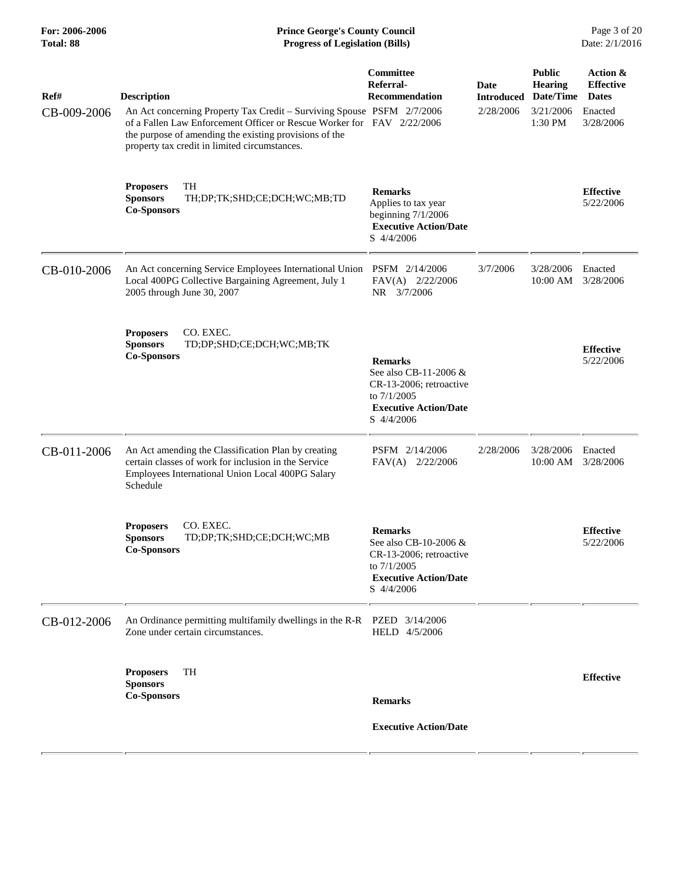| <b>Description</b><br>the purpose of amending the existing provisions of the<br>property tax credit in limited circumstances.                                               | Committee<br>Referral-<br>Recommendation                                                                                        | <b>Date</b><br><b>Introduced</b><br>2/28/2006                                                                                                                                                                              | <b>Public</b><br><b>Hearing</b><br>3/21/2006<br>1:30 PM | Action &<br><b>Effective</b><br><b>Dates</b><br>Enacted<br>3/28/2006 |
|-----------------------------------------------------------------------------------------------------------------------------------------------------------------------------|---------------------------------------------------------------------------------------------------------------------------------|----------------------------------------------------------------------------------------------------------------------------------------------------------------------------------------------------------------------------|---------------------------------------------------------|----------------------------------------------------------------------|
| <b>TH</b><br><b>Proposers</b><br><b>Sponsors</b><br>TH;DP;TK;SHD;CE;DCH;WC;MB;TD<br><b>Co-Sponsors</b>                                                                      | <b>Remarks</b><br>Applies to tax year<br>beginning $7/1/2006$<br><b>Executive Action/Date</b><br>S 4/4/2006                     |                                                                                                                                                                                                                            |                                                         | <b>Effective</b><br>5/22/2006                                        |
| Local 400PG Collective Bargaining Agreement, July 1<br>2005 through June 30, 2007                                                                                           | FAV(A)<br>2/22/2006<br>NR 3/7/2006                                                                                              | 3/7/2006                                                                                                                                                                                                                   | 3/28/2006<br>10:00 AM                                   | Enacted<br>3/28/2006                                                 |
| CO. EXEC.<br><b>Proposers</b><br><b>Sponsors</b><br>TD;DP;SHD;CE;DCH;WC;MB;TK<br><b>Co-Sponsors</b>                                                                         | <b>Remarks</b><br>See also CB-11-2006 &<br>CR-13-2006; retroactive<br>to 7/1/2005<br><b>Executive Action/Date</b><br>S 4/4/2006 |                                                                                                                                                                                                                            |                                                         | <b>Effective</b><br>5/22/2006                                        |
| An Act amending the Classification Plan by creating<br>certain classes of work for inclusion in the Service<br>Employees International Union Local 400PG Salary<br>Schedule | PSFM 2/14/2006<br>$FAV(A)$ 2/22/2006                                                                                            | 2/28/2006                                                                                                                                                                                                                  | 3/28/2006<br>10:00 AM                                   | Enacted<br>3/28/2006                                                 |
| <b>Proposers</b><br>CO. EXEC.<br><b>Sponsors</b><br>TD;DP;TK;SHD;CE;DCH;WC;MB<br><b>Co-Sponsors</b>                                                                         | <b>Remarks</b><br>See also CB-10-2006 &<br>CR-13-2006; retroactive<br>to 7/1/2005<br><b>Executive Action/Date</b><br>S 4/4/2006 |                                                                                                                                                                                                                            |                                                         | <b>Effective</b><br>5/22/2006                                        |
| An Ordinance permitting multifamily dwellings in the R-R<br>Zone under certain circumstances.                                                                               | PZED 3/14/2006<br>HELD 4/5/2006                                                                                                 |                                                                                                                                                                                                                            |                                                         |                                                                      |
| TH<br><b>Proposers</b><br><b>Sponsors</b><br><b>Co-Sponsors</b>                                                                                                             | <b>Remarks</b><br><b>Executive Action/Date</b>                                                                                  |                                                                                                                                                                                                                            |                                                         | <b>Effective</b>                                                     |
|                                                                                                                                                                             |                                                                                                                                 | An Act concerning Property Tax Credit - Surviving Spouse PSFM 2/7/2006<br>of a Fallen Law Enforcement Officer or Rescue Worker for FAV 2/22/2006<br>An Act concerning Service Employees International Union PSFM 2/14/2006 |                                                         | Date/Time                                                            |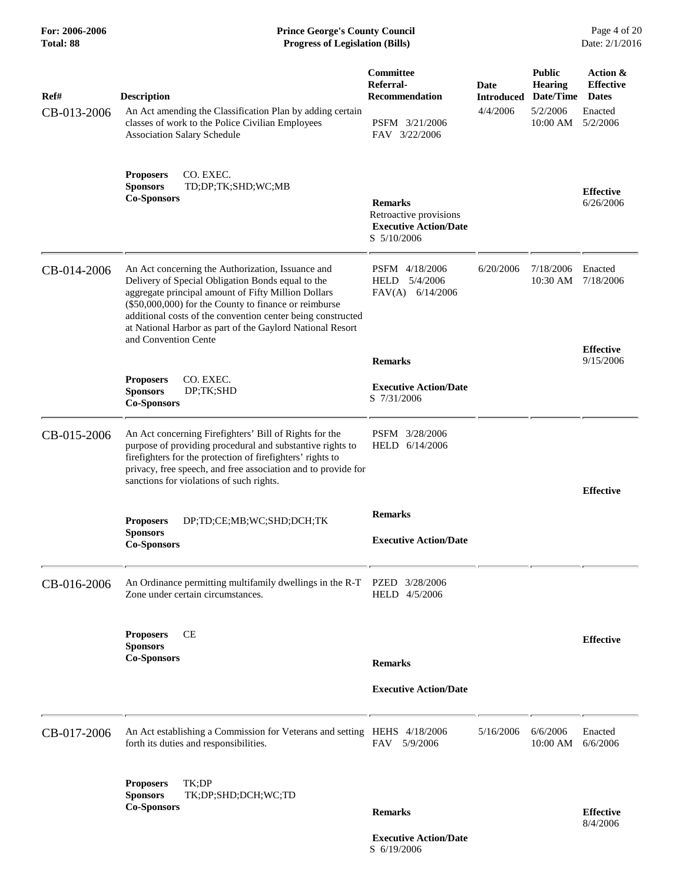### **For: 2006-2006 Prince George's County Council** Page 4 of 20<br> **Prince George's County Council** Page 4 of 20<br> **Progress of Legislation (Bills)** Date: 2/1/2016 **Total: 88 Progress of Legislation (Bills)**

| Ref#<br>CB-013-2006 | <b>Description</b><br>An Act amending the Classification Plan by adding certain<br>classes of work to the Police Civilian Employees<br><b>Association Salary Schedule</b>                                                                                                                                                                                                  | Committee<br>Referral-<br><b>Recommendation</b><br>PSFM 3/21/2006<br>FAV 3/22/2006      | Date<br><b>Introduced</b><br>4/4/2006 | <b>Public</b><br><b>Hearing</b><br>Date/Time<br>5/2/2006<br>10:00 AM | Action &<br><b>Effective</b><br><b>Dates</b><br>Enacted<br>5/2/2006 |
|---------------------|----------------------------------------------------------------------------------------------------------------------------------------------------------------------------------------------------------------------------------------------------------------------------------------------------------------------------------------------------------------------------|-----------------------------------------------------------------------------------------|---------------------------------------|----------------------------------------------------------------------|---------------------------------------------------------------------|
|                     | CO. EXEC.<br><b>Proposers</b><br><b>Sponsors</b><br>TD;DP;TK;SHD;WC;MB<br><b>Co-Sponsors</b>                                                                                                                                                                                                                                                                               | <b>Remarks</b><br>Retroactive provisions<br><b>Executive Action/Date</b><br>S 5/10/2006 |                                       |                                                                      | <b>Effective</b><br>6/26/2006                                       |
| CB-014-2006         | An Act concerning the Authorization, Issuance and<br>Delivery of Special Obligation Bonds equal to the<br>aggregate principal amount of Fifty Million Dollars<br>(\$50,000,000) for the County to finance or reimburse<br>additional costs of the convention center being constructed<br>at National Harbor as part of the Gaylord National Resort<br>and Convention Cente | PSFM 4/18/2006<br>5/4/2006<br><b>HELD</b><br>$FAV(A)$ 6/14/2006                         | 6/20/2006                             | 7/18/2006<br>10:30 AM                                                | Enacted<br>7/18/2006                                                |
|                     |                                                                                                                                                                                                                                                                                                                                                                            | <b>Remarks</b>                                                                          |                                       |                                                                      | <b>Effective</b><br>9/15/2006                                       |
|                     | CO. EXEC.<br><b>Proposers</b><br><b>Sponsors</b><br>DP;TK;SHD<br><b>Co-Sponsors</b>                                                                                                                                                                                                                                                                                        | <b>Executive Action/Date</b><br>S 7/31/2006                                             |                                       |                                                                      |                                                                     |
| CB-015-2006         | An Act concerning Firefighters' Bill of Rights for the<br>purpose of providing procedural and substantive rights to<br>firefighters for the protection of firefighters' rights to<br>privacy, free speech, and free association and to provide for<br>sanctions for violations of such rights.                                                                             | PSFM 3/28/2006<br>HELD 6/14/2006                                                        |                                       |                                                                      | <b>Effective</b>                                                    |
|                     | DP;TD;CE;MB;WC;SHD;DCH;TK<br><b>Proposers</b><br><b>Sponsors</b><br><b>Co-Sponsors</b>                                                                                                                                                                                                                                                                                     | <b>Remarks</b><br><b>Executive Action/Date</b>                                          |                                       |                                                                      |                                                                     |
| CB-016-2006         | An Ordinance permitting multifamily dwellings in the R-T<br>Zone under certain circumstances.                                                                                                                                                                                                                                                                              | PZED<br>3/28/2006<br>HELD 4/5/2006                                                      |                                       |                                                                      |                                                                     |
|                     | <b>CE</b><br><b>Proposers</b><br><b>Sponsors</b><br><b>Co-Sponsors</b>                                                                                                                                                                                                                                                                                                     | <b>Remarks</b>                                                                          |                                       |                                                                      | <b>Effective</b>                                                    |
|                     |                                                                                                                                                                                                                                                                                                                                                                            | <b>Executive Action/Date</b>                                                            |                                       |                                                                      |                                                                     |
| CB-017-2006         | An Act establishing a Commission for Veterans and setting HEHS 4/18/2006<br>forth its duties and responsibilities.                                                                                                                                                                                                                                                         | FAV 5/9/2006                                                                            | 5/16/2006                             | 6/6/2006<br>10:00 AM                                                 | Enacted<br>6/6/2006                                                 |
|                     | <b>Proposers</b><br>TK:DP<br><b>Sponsors</b><br>TK;DP;SHD;DCH;WC;TD<br><b>Co-Sponsors</b>                                                                                                                                                                                                                                                                                  | <b>Remarks</b>                                                                          |                                       |                                                                      | <b>Effective</b><br>8/4/2006                                        |

 **Executive Action/Date** S 6/19/2006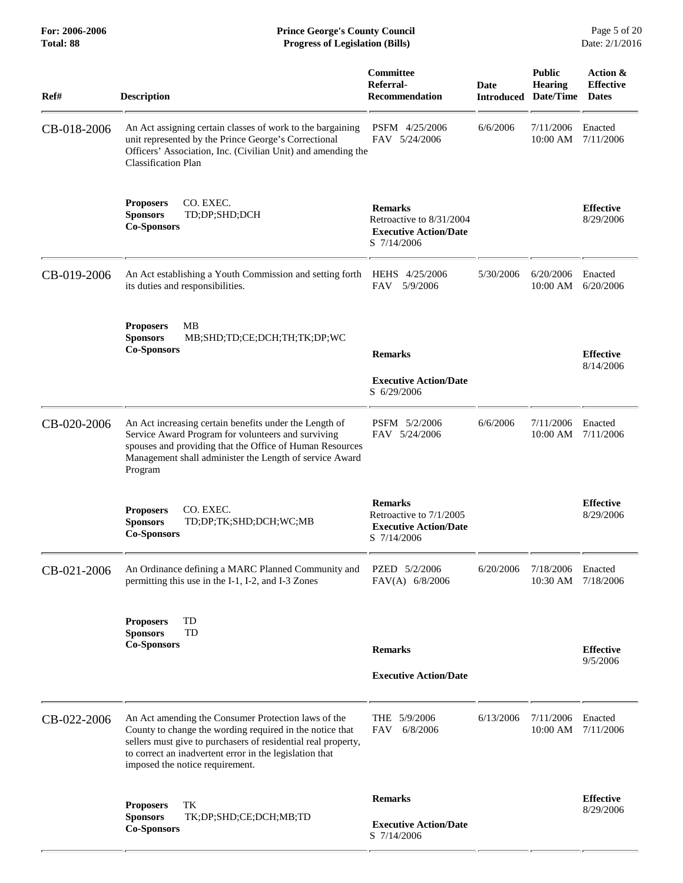**For: 2006-2006 Prince George's County Council** Page 5 of 20<br> **Forms Prince George's County Council** Page 5 of 20<br> **Progress of Legislation (Bills)** Date: 2/1/2016 **Total: 88 Progress of Legislation (Bills)** 

| Ref#        | <b>Description</b>                                                                                                                                                                                                                                                             | Committee<br>Referral-<br><b>Recommendation</b>                                           | <b>Date</b><br><b>Introduced</b> | <b>Public</b><br><b>Hearing</b><br>Date/Time | Action &<br><b>Effective</b><br><b>Dates</b> |
|-------------|--------------------------------------------------------------------------------------------------------------------------------------------------------------------------------------------------------------------------------------------------------------------------------|-------------------------------------------------------------------------------------------|----------------------------------|----------------------------------------------|----------------------------------------------|
| CB-018-2006 | An Act assigning certain classes of work to the bargaining<br>unit represented by the Prince George's Correctional<br>Officers' Association, Inc. (Civilian Unit) and amending the<br><b>Classification Plan</b>                                                               | PSFM 4/25/2006<br>FAV 5/24/2006                                                           | 6/6/2006                         | 7/11/2006<br>10:00 AM                        | Enacted<br>7/11/2006                         |
|             | CO. EXEC.<br><b>Proposers</b><br><b>Sponsors</b><br>TD;DP;SHD;DCH<br><b>Co-Sponsors</b>                                                                                                                                                                                        | <b>Remarks</b><br>Retroactive to 8/31/2004<br><b>Executive Action/Date</b><br>S 7/14/2006 |                                  |                                              | <b>Effective</b><br>8/29/2006                |
| CB-019-2006 | An Act establishing a Youth Commission and setting forth<br>its duties and responsibilities.                                                                                                                                                                                   | <b>HEHS</b><br>4/25/2006<br><b>FAV</b><br>5/9/2006                                        | 5/30/2006                        | 6/20/2006<br>$10:00$ AM                      | Enacted<br>6/20/2006                         |
|             | <b>Proposers</b><br>MВ<br><b>Sponsors</b><br>MB;SHD;TD;CE;DCH;TH;TK;DP;WC<br><b>Co-Sponsors</b>                                                                                                                                                                                | <b>Remarks</b><br><b>Executive Action/Date</b><br>S 6/29/2006                             |                                  |                                              | <b>Effective</b><br>8/14/2006                |
| CB-020-2006 | An Act increasing certain benefits under the Length of<br>Service Award Program for volunteers and surviving<br>spouses and providing that the Office of Human Resources<br>Management shall administer the Length of service Award<br>Program                                 | PSFM 5/2/2006<br>FAV 5/24/2006                                                            | 6/6/2006                         | 7/11/2006<br>10:00 AM                        | Enacted<br>7/11/2006                         |
|             | <b>Proposers</b><br>CO. EXEC.<br>TD;DP;TK;SHD;DCH;WC;MB<br><b>Sponsors</b><br><b>Co-Sponsors</b>                                                                                                                                                                               | <b>Remarks</b><br>Retroactive to 7/1/2005<br><b>Executive Action/Date</b><br>S 7/14/2006  |                                  |                                              | <b>Effective</b><br>8/29/2006                |
| CB-021-2006 | An Ordinance defining a MARC Planned Community and<br>permitting this use in the I-1, I-2, and I-3 Zones                                                                                                                                                                       | PZED 5/2/2006<br>FAV(A) 6/8/2006                                                          | 6/20/2006                        | 7/18/2006<br>10:30 AM                        | Enacted<br>7/18/2006                         |
|             | TD<br><b>Proposers</b><br><b>Sponsors</b><br>TD<br><b>Co-Sponsors</b>                                                                                                                                                                                                          | <b>Remarks</b><br><b>Executive Action/Date</b>                                            |                                  |                                              | <b>Effective</b><br>9/5/2006                 |
| CB-022-2006 | An Act amending the Consumer Protection laws of the<br>County to change the wording required in the notice that<br>sellers must give to purchasers of residential real property,<br>to correct an inadvertent error in the legislation that<br>imposed the notice requirement. | THE 5/9/2006<br>6/8/2006<br>FAV                                                           | 6/13/2006                        | 7/11/2006<br>10:00 AM                        | Enacted<br>7/11/2006                         |
|             | TK<br><b>Proposers</b><br><b>Sponsors</b><br>TK;DP;SHD;CE;DCH;MB;TD<br><b>Co-Sponsors</b>                                                                                                                                                                                      | <b>Remarks</b><br><b>Executive Action/Date</b><br>S 7/14/2006                             |                                  |                                              | <b>Effective</b><br>8/29/2006                |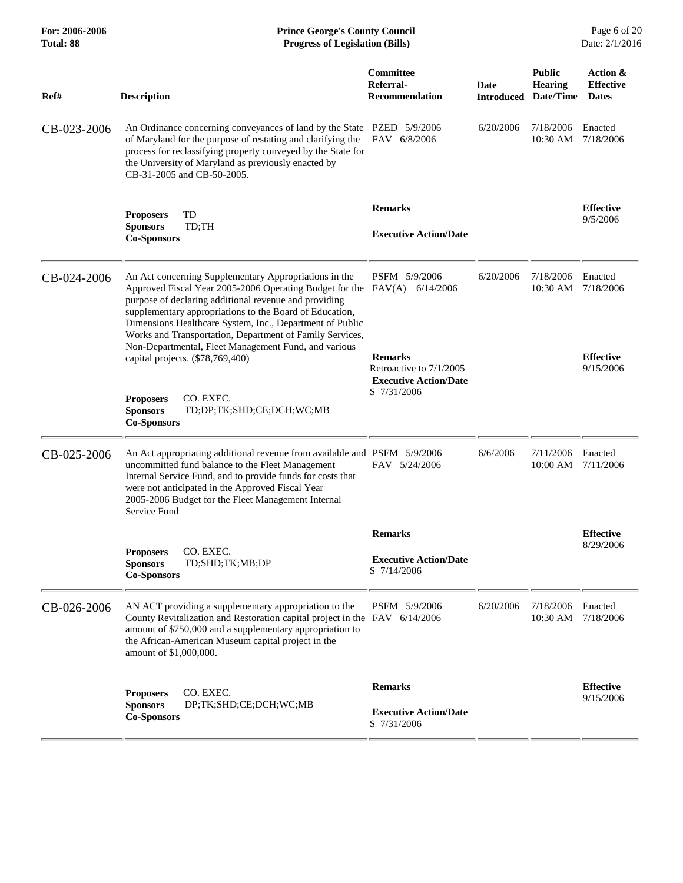| For: 2006-2006<br>Total: 88 | <b>Prince George's County Council</b><br>Date: 2/1/2016<br><b>Progress of Legislation (Bills)</b>                                                                                                                                                                                                                                                            |                                                                           |                    |                                              |                                              |
|-----------------------------|--------------------------------------------------------------------------------------------------------------------------------------------------------------------------------------------------------------------------------------------------------------------------------------------------------------------------------------------------------------|---------------------------------------------------------------------------|--------------------|----------------------------------------------|----------------------------------------------|
| Ref#                        | <b>Description</b>                                                                                                                                                                                                                                                                                                                                           | Committee<br>Referral-<br><b>Recommendation</b>                           | Date<br>Introduced | <b>Public</b><br><b>Hearing</b><br>Date/Time | Action &<br><b>Effective</b><br><b>Dates</b> |
| CB-023-2006                 | An Ordinance concerning conveyances of land by the State<br>of Maryland for the purpose of restating and clarifying the<br>process for reclassifying property conveyed by the State for<br>the University of Maryland as previously enacted by<br>CB-31-2005 and CB-50-2005.                                                                                 | PZED 5/9/2006<br>FAV 6/8/2006                                             | 6/20/2006          | 7/18/2006<br>10:30 AM                        | Enacted<br>7/18/2006                         |
|                             | TD<br><b>Proposers</b>                                                                                                                                                                                                                                                                                                                                       | <b>Remarks</b>                                                            |                    |                                              | <b>Effective</b>                             |
|                             | <b>Sponsors</b><br>TD;TH<br><b>Co-Sponsors</b>                                                                                                                                                                                                                                                                                                               | <b>Executive Action/Date</b>                                              |                    |                                              | 9/5/2006                                     |
| CB-024-2006                 | An Act concerning Supplementary Appropriations in the<br>Approved Fiscal Year 2005-2006 Operating Budget for the<br>purpose of declaring additional revenue and providing<br>supplementary appropriations to the Board of Education,<br>Dimensions Healthcare System, Inc., Department of Public<br>Works and Transportation, Department of Family Services, | PSFM 5/9/2006<br>$FAV(A)$ 6/14/2006                                       | 6/20/2006          | 7/18/2006<br>10:30 AM                        | Enacted<br>7/18/2006                         |
|                             | Non-Departmental, Fleet Management Fund, and various<br>capital projects. (\$78,769,400)                                                                                                                                                                                                                                                                     | <b>Remarks</b><br>Retroactive to 7/1/2005<br><b>Executive Action/Date</b> |                    |                                              | <b>Effective</b><br>9/15/2006                |
|                             | <b>Proposers</b><br>CO. EXEC.<br><b>Sponsors</b><br>TD;DP;TK;SHD;CE;DCH;WC;MB<br><b>Co-Sponsors</b>                                                                                                                                                                                                                                                          | S 7/31/2006                                                               |                    |                                              |                                              |
| CB-025-2006                 | An Act appropriating additional revenue from available and PSFM 5/9/2006<br>uncommitted fund balance to the Fleet Management<br>Internal Service Fund, and to provide funds for costs that<br>were not anticipated in the Approved Fiscal Year<br>2005-2006 Budget for the Fleet Management Internal<br>Service Fund                                         | FAV 5/24/2006                                                             | 6/6/2006           | 7/11/2006<br>10:00 AM                        | Enacted<br>7/11/2006                         |
|                             |                                                                                                                                                                                                                                                                                                                                                              | <b>Remarks</b>                                                            |                    |                                              | <b>Effective</b>                             |
|                             | CO. EXEC.<br><b>Proposers</b><br><b>Sponsors</b><br>TD;SHD;TK;MB;DP<br><b>Co-Sponsors</b>                                                                                                                                                                                                                                                                    | <b>Executive Action/Date</b><br>S 7/14/2006                               |                    |                                              | 8/29/2006                                    |
| CB-026-2006                 | AN ACT providing a supplementary appropriation to the<br>County Revitalization and Restoration capital project in the FAV 6/14/2006<br>amount of \$750,000 and a supplementary appropriation to<br>the African-American Museum capital project in the<br>amount of \$1,000,000.                                                                              | PSFM 5/9/2006                                                             | 6/20/2006          | 7/18/2006<br>10:30 AM 7/18/2006              | Enacted                                      |
|                             | CO. EXEC.<br><b>Proposers</b>                                                                                                                                                                                                                                                                                                                                | <b>Remarks</b>                                                            |                    |                                              | <b>Effective</b>                             |
|                             | <b>Sponsors</b><br>DP;TK;SHD;CE;DCH;WC;MB<br><b>Co-Sponsors</b>                                                                                                                                                                                                                                                                                              | <b>Executive Action/Date</b><br>S 7/31/2006                               |                    |                                              | 9/15/2006                                    |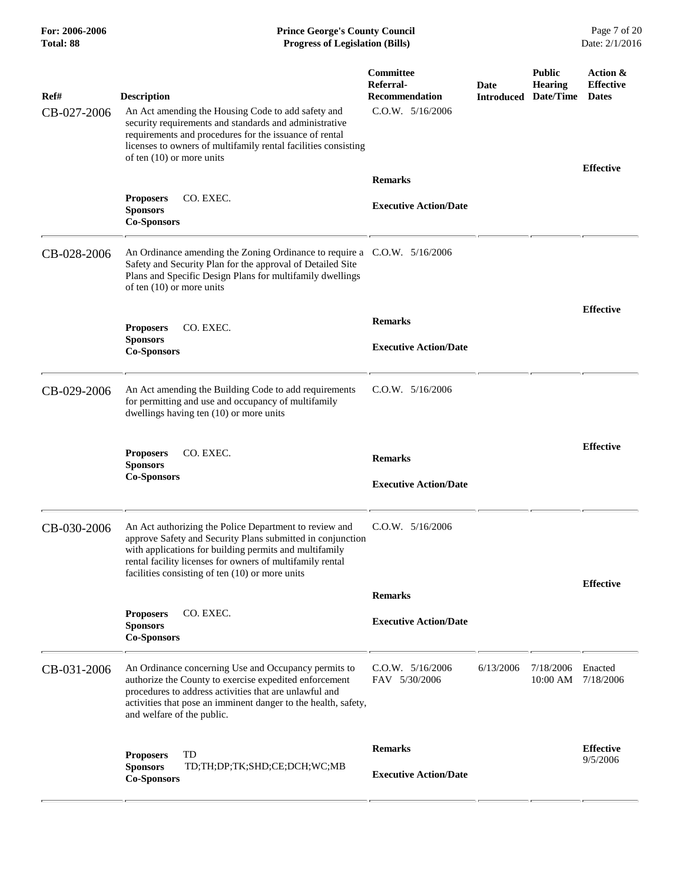#### **For: 2006-2006 Prince George's County Council** Page 7 of 20<br> **Prince George's County Council** Page 7 of 20<br> **Progress of Legislation (Bills)** Date: 2/1/2016 **Total: 88 Progress of Legislation (Bills)**

| Ref#<br>CB-027-2006 | <b>Description</b><br>An Act amending the Housing Code to add safety and<br>security requirements and standards and administrative<br>requirements and procedures for the issuance of rental<br>licenses to owners of multifamily rental facilities consisting<br>of ten $(10)$ or more units    | Committee<br>Referral-<br><b>Recommendation</b><br>$C.0.W.$ 5/16/2006 | Date<br><b>Introduced</b> | <b>Public</b><br><b>Hearing</b><br>Date/Time | Action &<br><b>Effective</b><br><b>Dates</b> |
|---------------------|--------------------------------------------------------------------------------------------------------------------------------------------------------------------------------------------------------------------------------------------------------------------------------------------------|-----------------------------------------------------------------------|---------------------------|----------------------------------------------|----------------------------------------------|
|                     |                                                                                                                                                                                                                                                                                                  | <b>Remarks</b>                                                        |                           |                                              | <b>Effective</b>                             |
|                     | <b>Proposers</b><br>CO. EXEC.<br><b>Sponsors</b><br><b>Co-Sponsors</b>                                                                                                                                                                                                                           | <b>Executive Action/Date</b>                                          |                           |                                              |                                              |
| CB-028-2006         | An Ordinance amending the Zoning Ordinance to require a C.O.W. 5/16/2006<br>Safety and Security Plan for the approval of Detailed Site<br>Plans and Specific Design Plans for multifamily dwellings<br>of ten $(10)$ or more units                                                               |                                                                       |                           |                                              |                                              |
|                     | CO. EXEC.<br><b>Proposers</b>                                                                                                                                                                                                                                                                    | <b>Remarks</b>                                                        |                           |                                              | <b>Effective</b>                             |
|                     | <b>Sponsors</b><br><b>Co-Sponsors</b>                                                                                                                                                                                                                                                            | <b>Executive Action/Date</b>                                          |                           |                                              |                                              |
| CB-029-2006         | An Act amending the Building Code to add requirements<br>for permitting and use and occupancy of multifamily<br>dwellings having ten (10) or more units                                                                                                                                          | $C.0.W.$ 5/16/2006                                                    |                           |                                              |                                              |
|                     | CO. EXEC.<br><b>Proposers</b><br><b>Sponsors</b><br><b>Co-Sponsors</b>                                                                                                                                                                                                                           | <b>Remarks</b><br><b>Executive Action/Date</b>                        |                           |                                              | <b>Effective</b>                             |
|                     |                                                                                                                                                                                                                                                                                                  |                                                                       |                           |                                              |                                              |
| CB-030-2006         | An Act authorizing the Police Department to review and<br>approve Safety and Security Plans submitted in conjunction<br>with applications for building permits and multifamily<br>rental facility licenses for owners of multifamily rental<br>facilities consisting of ten $(10)$ or more units | $C.0.W.$ $5/16/2006$                                                  |                           |                                              |                                              |
|                     |                                                                                                                                                                                                                                                                                                  | <b>Remarks</b>                                                        |                           |                                              | <b>Effective</b>                             |
|                     | CO. EXEC.<br><b>Proposers</b><br><b>Sponsors</b><br><b>Co-Sponsors</b>                                                                                                                                                                                                                           | <b>Executive Action/Date</b>                                          |                           |                                              |                                              |
| CB-031-2006         | An Ordinance concerning Use and Occupancy permits to<br>authorize the County to exercise expedited enforcement<br>procedures to address activities that are unlawful and<br>activities that pose an imminent danger to the health, safety,<br>and welfare of the public.                         | $C.0.W.$ $5/16/2006$<br>FAV 5/30/2006                                 | 6/13/2006                 | 7/18/2006<br>10:00 AM                        | Enacted<br>7/18/2006                         |
|                     | TD<br><b>Proposers</b><br><b>Sponsors</b><br>TD;TH;DP;TK;SHD;CE;DCH;WC;MB<br><b>Co-Sponsors</b>                                                                                                                                                                                                  | <b>Remarks</b><br><b>Executive Action/Date</b>                        |                           |                                              | <b>Effective</b><br>9/5/2006                 |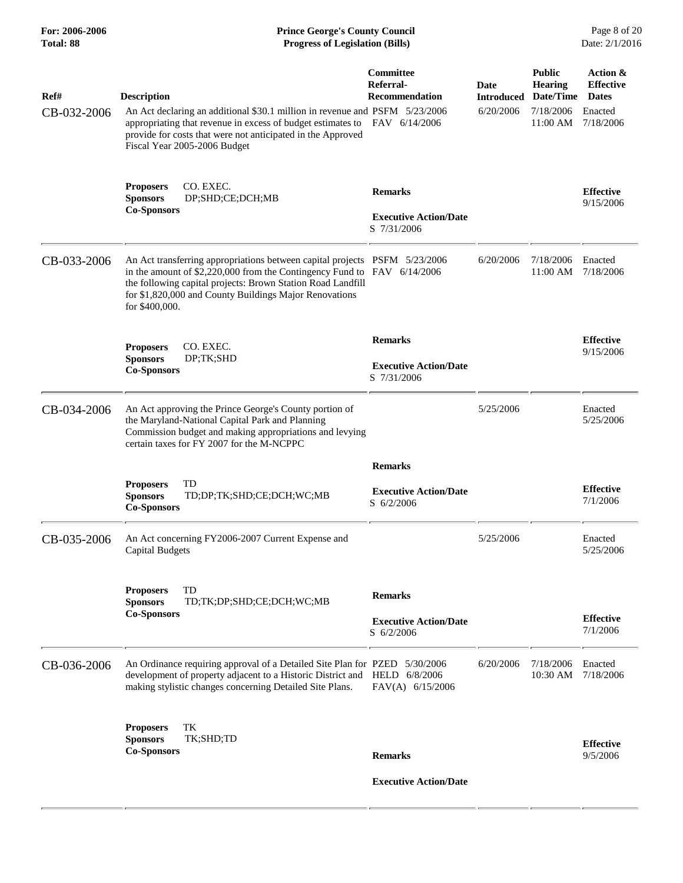| For: 2006-2006<br>Total: 88 | <b>Prince George's County Council</b><br><b>Progress of Legislation (Bills)</b>                                                                                                                                                                                                                  |                                                                       |                                        |                                                                       | Page 8 of 20<br>Date: 2/1/2016                                       |
|-----------------------------|--------------------------------------------------------------------------------------------------------------------------------------------------------------------------------------------------------------------------------------------------------------------------------------------------|-----------------------------------------------------------------------|----------------------------------------|-----------------------------------------------------------------------|----------------------------------------------------------------------|
| Ref#<br>CB-032-2006         | <b>Description</b><br>An Act declaring an additional \$30.1 million in revenue and PSFM 5/23/2006<br>appropriating that revenue in excess of budget estimates to<br>provide for costs that were not anticipated in the Approved<br>Fiscal Year 2005-2006 Budget                                  | Committee<br>Referral-<br><b>Recommendation</b><br>FAV 6/14/2006      | Date<br><b>Introduced</b><br>6/20/2006 | <b>Public</b><br><b>Hearing</b><br>Date/Time<br>7/18/2006<br>11:00 AM | Action &<br><b>Effective</b><br><b>Dates</b><br>Enacted<br>7/18/2006 |
|                             | CO. EXEC.<br><b>Proposers</b><br><b>Sponsors</b><br>DP;SHD;CE;DCH;MB<br><b>Co-Sponsors</b>                                                                                                                                                                                                       | <b>Remarks</b><br><b>Executive Action/Date</b><br>S 7/31/2006         |                                        |                                                                       | <b>Effective</b><br>9/15/2006                                        |
| CB-033-2006                 | An Act transferring appropriations between capital projects PSFM 5/23/2006<br>in the amount of \$2,220,000 from the Contingency Fund to FAV 6/14/2006<br>the following capital projects: Brown Station Road Landfill<br>for \$1,820,000 and County Buildings Major Renovations<br>for \$400,000. |                                                                       | 6/20/2006                              | 7/18/2006<br>11:00 AM                                                 | Enacted<br>7/18/2006                                                 |
|                             | CO. EXEC.<br><b>Proposers</b><br><b>Sponsors</b><br>DP;TK;SHD<br><b>Co-Sponsors</b>                                                                                                                                                                                                              | <b>Remarks</b><br><b>Executive Action/Date</b><br>S 7/31/2006         |                                        |                                                                       | <b>Effective</b><br>9/15/2006                                        |
| CB-034-2006                 | An Act approving the Prince George's County portion of<br>the Maryland-National Capital Park and Planning<br>Commission budget and making appropriations and levying<br>certain taxes for FY 2007 for the M-NCPPC                                                                                |                                                                       | 5/25/2006                              |                                                                       | Enacted<br>5/25/2006                                                 |
|                             | TD<br><b>Proposers</b><br><b>Sponsors</b><br>TD;DP;TK;SHD;CE;DCH;WC;MB<br><b>Co-Sponsors</b>                                                                                                                                                                                                     | <b>Remarks</b><br><b>Executive Action/Date</b><br>$S \frac{6}{2}2006$ |                                        |                                                                       | <b>Effective</b><br>7/1/2006                                         |
| CB-035-2006                 | An Act concerning FY2006-2007 Current Expense and<br><b>Capital Budgets</b>                                                                                                                                                                                                                      |                                                                       | 5/25/2006                              |                                                                       | Enacted<br>5/25/2006                                                 |
|                             | <b>Proposers</b><br>TD<br>TD;TK;DP;SHD;CE;DCH;WC;MB<br><b>Sponsors</b><br><b>Co-Sponsors</b>                                                                                                                                                                                                     | <b>Remarks</b><br><b>Executive Action/Date</b><br>$S$ 6/2/2006        |                                        |                                                                       | <b>Effective</b><br>7/1/2006                                         |
| CB-036-2006                 | An Ordinance requiring approval of a Detailed Site Plan for PZED 5/30/2006<br>development of property adjacent to a Historic District and HELD 6/8/2006<br>making stylistic changes concerning Detailed Site Plans.                                                                              | FAV(A) 6/15/2006                                                      | 6/20/2006                              | 7/18/2006<br>10:30 AM                                                 | Enacted<br>7/18/2006                                                 |
|                             | TK<br><b>Proposers</b><br>TK;SHD;TD<br><b>Sponsors</b><br><b>Co-Sponsors</b>                                                                                                                                                                                                                     | <b>Remarks</b><br><b>Executive Action/Date</b>                        |                                        |                                                                       | <b>Effective</b><br>9/5/2006                                         |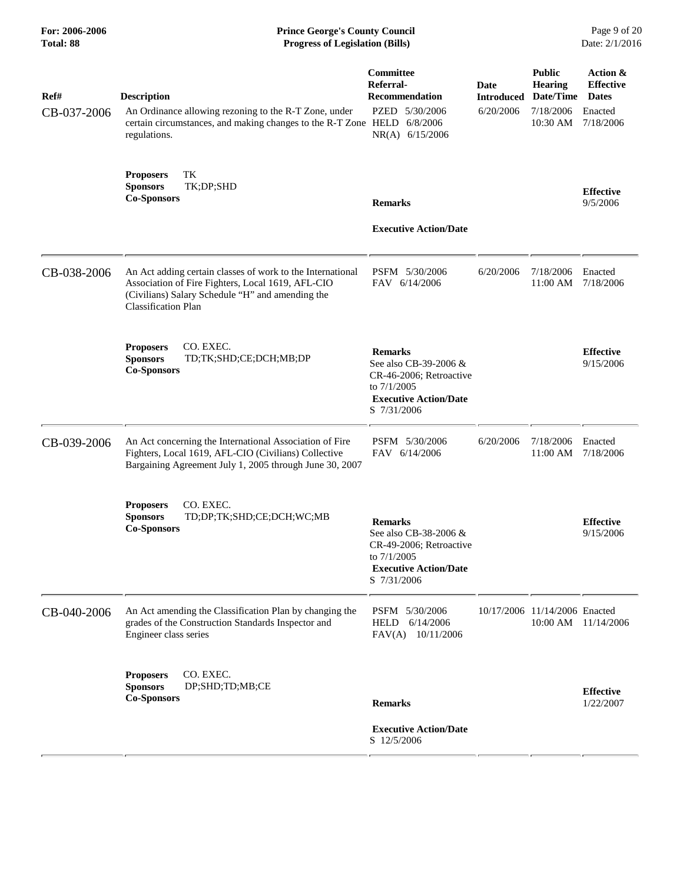| <b>Prince George's County Council</b><br><b>Progress of Legislation (Bills)</b>                                                                                                                   |                                                                                                                                  |                                                                                           |                          | Page 9 of 20<br>Date: 2/1/2016                          |  |
|---------------------------------------------------------------------------------------------------------------------------------------------------------------------------------------------------|----------------------------------------------------------------------------------------------------------------------------------|-------------------------------------------------------------------------------------------|--------------------------|---------------------------------------------------------|--|
| <b>Description</b>                                                                                                                                                                                | <b>Committee</b><br>Referral-<br><b>Recommendation</b>                                                                           | Date<br><b>Introduced</b>                                                                 | <b>Public</b><br>Hearing | Action &<br><b>Effective</b><br><b>Dates</b>            |  |
| regulations.                                                                                                                                                                                      | NR(A) 6/15/2006                                                                                                                  |                                                                                           | 10:30 AM                 | Enacted<br>7/18/2006                                    |  |
| TK<br><b>Proposers</b><br>TK;DP;SHD<br><b>Sponsors</b><br><b>Co-Sponsors</b>                                                                                                                      | <b>Remarks</b>                                                                                                                   |                                                                                           |                          | <b>Effective</b><br>9/5/2006                            |  |
|                                                                                                                                                                                                   | <b>Executive Action/Date</b>                                                                                                     |                                                                                           |                          |                                                         |  |
| An Act adding certain classes of work to the International<br>Association of Fire Fighters, Local 1619, AFL-CIO<br>(Civilians) Salary Schedule "H" and amending the<br><b>Classification Plan</b> | PSFM 5/30/2006<br>FAV 6/14/2006                                                                                                  | 6/20/2006                                                                                 | 7/18/2006<br>11:00 AM    | Enacted<br>7/18/2006                                    |  |
| CO. EXEC.<br><b>Proposers</b><br><b>Sponsors</b><br>TD;TK;SHD;CE;DCH;MB;DP<br><b>Co-Sponsors</b>                                                                                                  | <b>Remarks</b><br>See also CB-39-2006 &<br>CR-46-2006; Retroactive<br>to 7/1/2005<br><b>Executive Action/Date</b><br>S 7/31/2006 |                                                                                           |                          | <b>Effective</b><br>9/15/2006                           |  |
| An Act concerning the International Association of Fire<br>Fighters, Local 1619, AFL-CIO (Civilians) Collective<br>Bargaining Agreement July 1, 2005 through June 30, 2007                        | PSFM 5/30/2006<br>FAV 6/14/2006                                                                                                  | 6/20/2006                                                                                 | 7/18/2006<br>11:00 AM    | Enacted<br>7/18/2006                                    |  |
| CO. EXEC.<br><b>Proposers</b><br><b>Sponsors</b><br>TD;DP;TK;SHD;CE;DCH;WC;MB<br><b>Co-Sponsors</b>                                                                                               | <b>Remarks</b><br>See also CB-38-2006 &<br>CR-49-2006; Retroactive<br>to 7/1/2005<br><b>Executive Action/Date</b><br>S 7/31/2006 |                                                                                           |                          | <b>Effective</b><br>9/15/2006                           |  |
| An Act amending the Classification Plan by changing the<br>grades of the Construction Standards Inspector and<br>Engineer class series                                                            | PSFM 5/30/2006<br>6/14/2006<br>HELD<br>FAV(A) 10/11/2006                                                                         |                                                                                           |                          | 10:00 AM 11/14/2006                                     |  |
| CO. EXEC.<br><b>Proposers</b><br><b>Sponsors</b><br>DP;SHD;TD;MB;CE<br><b>Co-Sponsors</b>                                                                                                         | <b>Remarks</b>                                                                                                                   |                                                                                           |                          | <b>Effective</b><br>1/22/2007                           |  |
|                                                                                                                                                                                                   | <b>Executive Action/Date</b><br>S 12/5/2006                                                                                      |                                                                                           |                          |                                                         |  |
|                                                                                                                                                                                                   | An Ordinance allowing rezoning to the R-T Zone, under                                                                            | PZED 5/30/2006<br>certain circumstances, and making changes to the R-T Zone HELD 6/8/2006 | 6/20/2006                | Date/Time<br>7/18/2006<br>10/17/2006 11/14/2006 Enacted |  |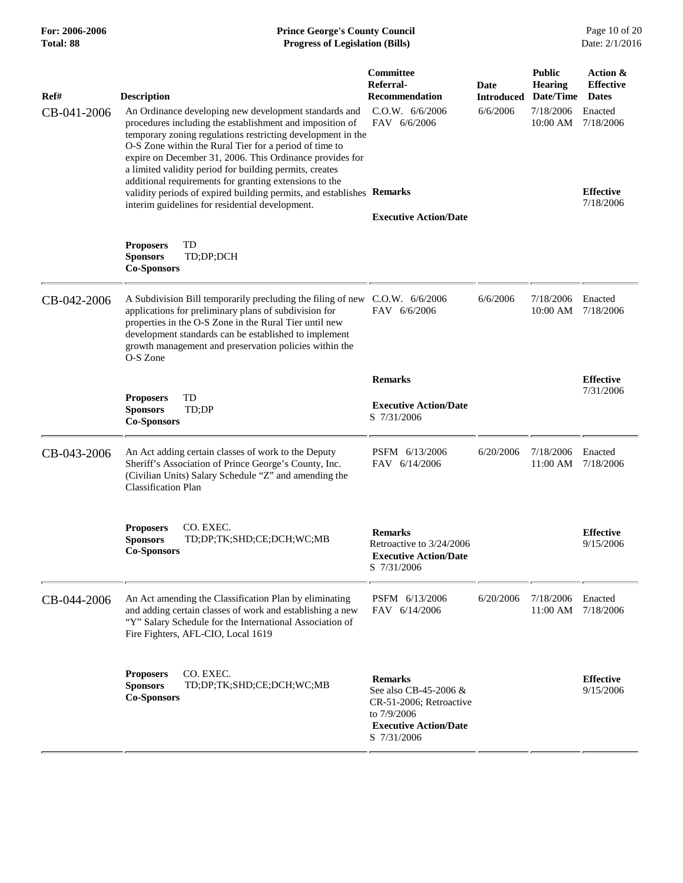| <b>Prince George's County Council</b><br>Date: 2/1/2016<br><b>Progress of Legislation (Bills)</b> |                                              |                                                       |  |
|---------------------------------------------------------------------------------------------------|----------------------------------------------|-------------------------------------------------------|--|
| Date<br><b>Introduced</b>                                                                         | <b>Public</b><br><b>Hearing</b><br>Date/Time | Action &<br><b>Effective</b><br><b>Dates</b>          |  |
| 6/6/2006                                                                                          | 7/18/2006<br>10:00 AM                        | Enacted<br>7/18/2006<br><b>Effective</b><br>7/18/2006 |  |
|                                                                                                   |                                              |                                                       |  |
|                                                                                                   |                                              |                                                       |  |
| 6/6/2006                                                                                          | 7/18/2006<br>10:00 AM                        | Enacted<br>7/18/2006                                  |  |
|                                                                                                   |                                              | <b>Effective</b>                                      |  |
|                                                                                                   |                                              | 7/31/2006                                             |  |
| 6/20/2006                                                                                         | 7/18/2006<br>11:00 AM                        | Enacted<br>7/18/2006                                  |  |
|                                                                                                   |                                              | <b>Effective</b><br>9/15/2006                         |  |
| 6/20/2006                                                                                         | 7/18/2006<br>11:00 AM                        | Enacted<br>7/18/2006                                  |  |
|                                                                                                   |                                              | <b>Effective</b><br>9/15/2006                         |  |
|                                                                                                   |                                              |                                                       |  |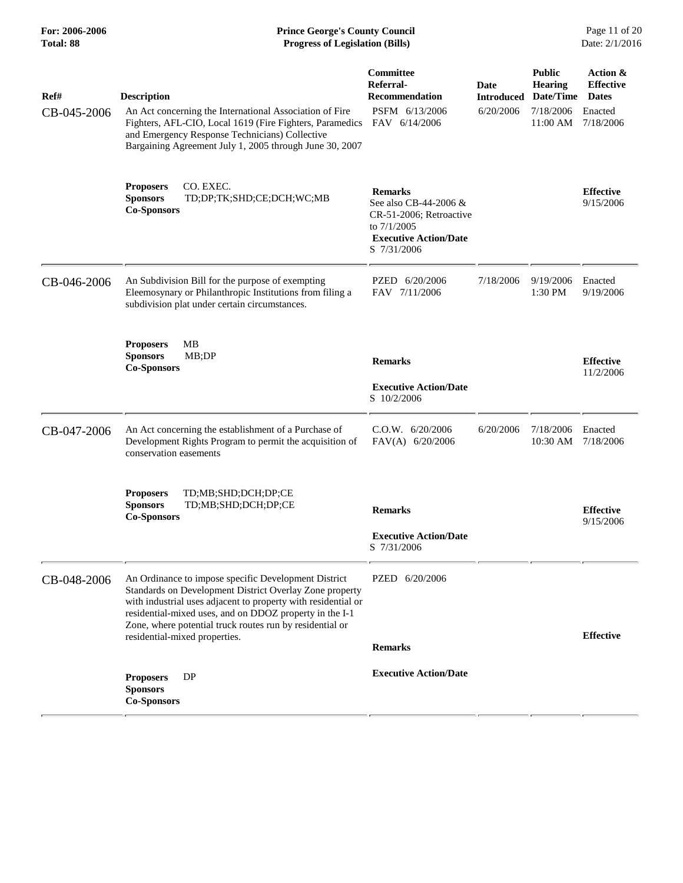| For: 2006-2006<br>Total: 88 | <b>Prince George's County Council</b><br><b>Progress of Legislation (Bills)</b>                                                                                                                                                  |                                                                                                                                       |                                  |                                              | Page 11 of 20<br>Date: 2/1/2016              |
|-----------------------------|----------------------------------------------------------------------------------------------------------------------------------------------------------------------------------------------------------------------------------|---------------------------------------------------------------------------------------------------------------------------------------|----------------------------------|----------------------------------------------|----------------------------------------------|
| Ref#                        | <b>Description</b>                                                                                                                                                                                                               | Committee<br>Referral-<br><b>Recommendation</b>                                                                                       | <b>Date</b><br><b>Introduced</b> | <b>Public</b><br><b>Hearing</b><br>Date/Time | Action &<br><b>Effective</b><br><b>Dates</b> |
| CB-045-2006                 | An Act concerning the International Association of Fire<br>Fighters, AFL-CIO, Local 1619 (Fire Fighters, Paramedics<br>and Emergency Response Technicians) Collective<br>Bargaining Agreement July 1, 2005 through June 30, 2007 | PSFM 6/13/2006<br>FAV 6/14/2006                                                                                                       | 6/20/2006                        | 7/18/2006<br>11:00 AM                        | Enacted<br>7/18/2006                         |
|                             | CO. EXEC.<br><b>Proposers</b><br><b>Sponsors</b><br>TD;DP;TK;SHD;CE;DCH;WC;MB<br><b>Co-Sponsors</b>                                                                                                                              | <b>Remarks</b><br>See also CB-44-2006 $\&$<br>CR-51-2006; Retroactive<br>to $7/1/2005$<br><b>Executive Action/Date</b><br>S 7/31/2006 |                                  |                                              | <b>Effective</b><br>9/15/2006                |
| CB-046-2006                 | An Subdivision Bill for the purpose of exempting<br>Eleemosynary or Philanthropic Institutions from filing a<br>subdivision plat under certain circumstances.                                                                    | PZED 6/20/2006<br>FAV 7/11/2006                                                                                                       | 7/18/2006                        | 9/19/2006<br>1:30 PM                         | Enacted<br>9/19/2006                         |
|                             | <b>Proposers</b><br>МB<br><b>Sponsors</b><br>MB;DP<br><b>Co-Sponsors</b>                                                                                                                                                         | <b>Remarks</b><br><b>Executive Action/Date</b><br>S 10/2/2006                                                                         |                                  |                                              | <b>Effective</b><br>11/2/2006                |
| CB-047-2006                 | An Act concerning the establishment of a Purchase of<br>Development Rights Program to permit the acquisition of<br>conservation easements                                                                                        | C.O.W. 6/20/2006<br>FAV(A) 6/20/2006                                                                                                  | 6/20/2006                        | 7/18/2006<br>10:30 AM                        | Enacted<br>7/18/2006                         |
|                             | <b>Proposers</b><br>TD;MB;SHD;DCH;DP;CE<br><b>Sponsors</b><br>TD;MB;SHD;DCH;DP;CE<br><b>Co-Sponsors</b>                                                                                                                          | <b>Remarks</b><br><b>Executive Action/Date</b><br>S 7/31/2006                                                                         |                                  |                                              | <b>Effective</b><br>9/15/2006                |
| CB-048-2006                 | An Ordinance to impose specific Development District<br>Standards on Development District Overlay Zone property                                                                                                                  | PZED 6/20/2006                                                                                                                        |                                  |                                              |                                              |

with industrial uses adjacent to property with residential or residential-mixed uses, and on DDOZ property in the I-1 Zone, where potential truck routes run by residential or

**Sponsors Co-Sponsors** 

 **Executive Action/Date Proposers** DP

residential-mixed properties. **Effective Remarks**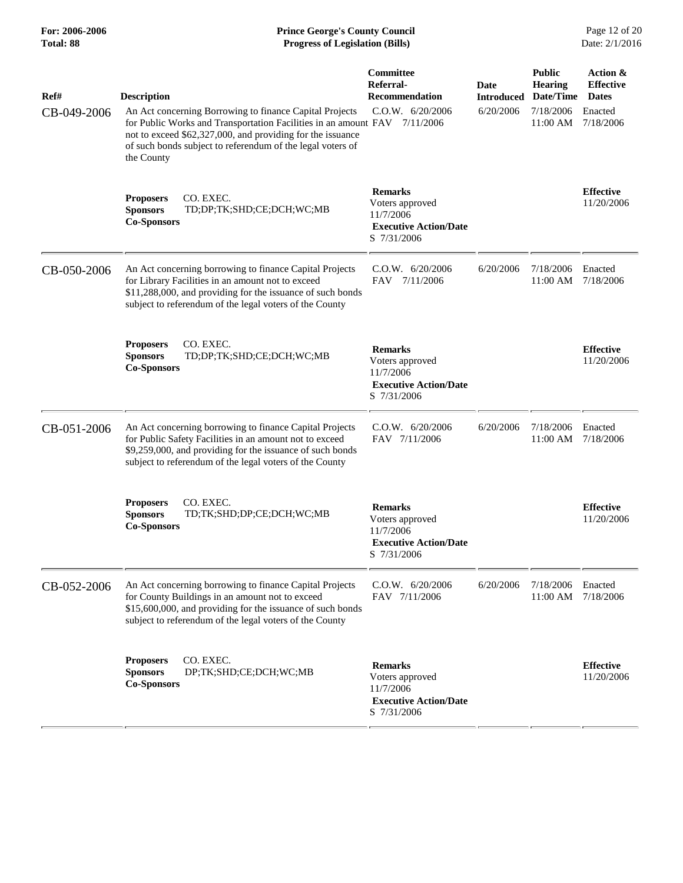#### **For: 2006-2006 Prince George's County Council** Page 12 of 20<br> **Prince George's County Council** Page 12 of 20<br> **Progress of Legislation (Bills)** Date: 2/1/2016 **Total: 88 Progress of Legislation (Bills)**

| Ref#<br>CB-049-2006 | <b>Description</b><br>An Act concerning Borrowing to finance Capital Projects<br>for Public Works and Transportation Facilities in an amount FAV 7/11/2006<br>not to exceed \$62,327,000, and providing for the issuance<br>of such bonds subject to referendum of the legal voters of<br>the County | Committee<br>Referral-<br><b>Recommendation</b><br>C.O.W. 6/20/2006                           | Date<br><b>Introduced</b><br>6/20/2006 | <b>Public</b><br><b>Hearing</b><br>Date/Time<br>7/18/2006<br>11:00 AM | Action &<br><b>Effective</b><br><b>Dates</b><br>Enacted<br>7/18/2006 |
|---------------------|------------------------------------------------------------------------------------------------------------------------------------------------------------------------------------------------------------------------------------------------------------------------------------------------------|-----------------------------------------------------------------------------------------------|----------------------------------------|-----------------------------------------------------------------------|----------------------------------------------------------------------|
|                     | CO. EXEC.<br><b>Proposers</b><br><b>Sponsors</b><br>TD;DP;TK;SHD;CE;DCH;WC;MB<br><b>Co-Sponsors</b>                                                                                                                                                                                                  | <b>Remarks</b><br>Voters approved<br>11/7/2006<br><b>Executive Action/Date</b><br>S 7/31/2006 |                                        |                                                                       | <b>Effective</b><br>11/20/2006                                       |
| CB-050-2006         | An Act concerning borrowing to finance Capital Projects<br>for Library Facilities in an amount not to exceed<br>\$11,288,000, and providing for the issuance of such bonds<br>subject to referendum of the legal voters of the County                                                                | C.0.W. 6/20/2006<br>7/11/2006<br><b>FAV</b>                                                   | 6/20/2006                              | 7/18/2006<br>11:00 AM                                                 | Enacted<br>7/18/2006                                                 |
|                     | CO. EXEC.<br><b>Proposers</b><br><b>Sponsors</b><br>TD;DP;TK;SHD;CE;DCH;WC;MB<br><b>Co-Sponsors</b>                                                                                                                                                                                                  | <b>Remarks</b><br>Voters approved<br>11/7/2006<br><b>Executive Action/Date</b><br>S 7/31/2006 |                                        |                                                                       | <b>Effective</b><br>11/20/2006                                       |
| CB-051-2006         | An Act concerning borrowing to finance Capital Projects<br>for Public Safety Facilities in an amount not to exceed<br>\$9,259,000, and providing for the issuance of such bonds<br>subject to referendum of the legal voters of the County                                                           | C.0.W. 6/20/2006<br>FAV 7/11/2006                                                             | 6/20/2006                              | 7/18/2006<br>11:00 AM                                                 | Enacted<br>7/18/2006                                                 |
|                     | CO. EXEC.<br><b>Proposers</b><br><b>Sponsors</b><br>TD;TK;SHD;DP;CE;DCH;WC;MB<br><b>Co-Sponsors</b>                                                                                                                                                                                                  | <b>Remarks</b><br>Voters approved<br>11/7/2006<br><b>Executive Action/Date</b><br>S 7/31/2006 |                                        |                                                                       | <b>Effective</b><br>11/20/2006                                       |
| CB-052-2006         | An Act concerning borrowing to finance Capital Projects<br>for County Buildings in an amount not to exceed<br>\$15,600,000, and providing for the issuance of such bonds<br>subject to referendum of the legal voters of the County                                                                  | C.0.W. 6/20/2006<br>FAV 7/11/2006                                                             | 6/20/2006                              | 7/18/2006<br>11:00 AM                                                 | Enacted<br>7/18/2006                                                 |
|                     | CO. EXEC.<br><b>Proposers</b><br><b>Sponsors</b><br>DP;TK;SHD;CE;DCH;WC;MB<br><b>Co-Sponsors</b>                                                                                                                                                                                                     | <b>Remarks</b><br>Voters approved<br>11/7/2006<br><b>Executive Action/Date</b><br>S 7/31/2006 |                                        |                                                                       | <b>Effective</b><br>11/20/2006                                       |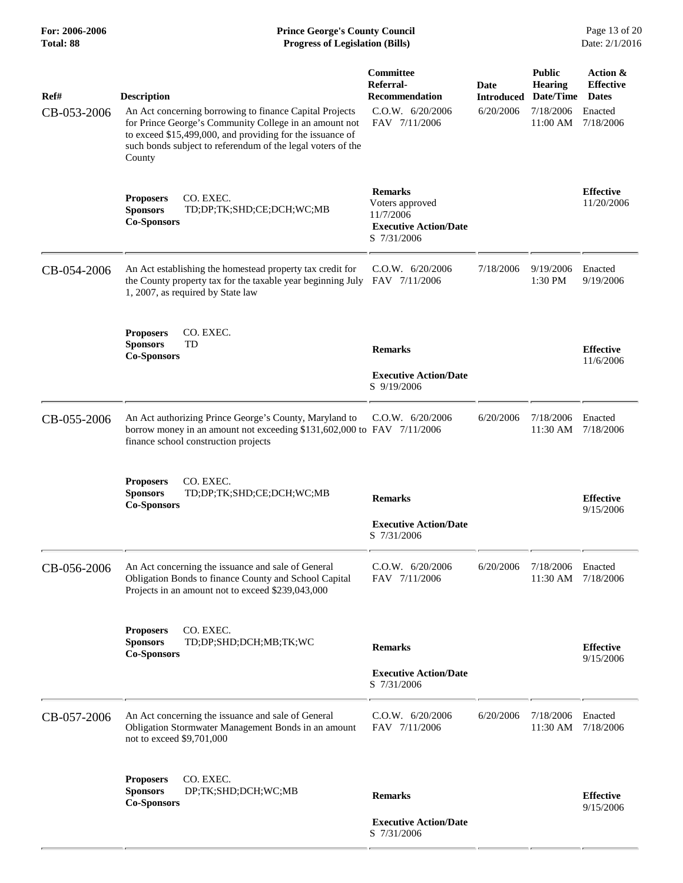| Ref#<br>CB-053-2006 | <b>Description</b><br>An Act concerning borrowing to finance Capital Projects<br>for Prince George's Community College in an amount not<br>to exceed \$15,499,000, and providing for the issuance of<br>such bonds subject to referendum of the legal voters of the<br>County | Committee<br>Referral-<br><b>Recommendation</b><br>C.O.W. 6/20/2006<br>FAV 7/11/2006          | Date<br><b>Introduced</b><br>6/20/2006 | <b>Public</b><br><b>Hearing</b><br>Date/Time<br>7/18/2006<br>11:00 AM | Action &<br><b>Effective</b><br><b>Dates</b><br>Enacted<br>7/18/2006 |
|---------------------|-------------------------------------------------------------------------------------------------------------------------------------------------------------------------------------------------------------------------------------------------------------------------------|-----------------------------------------------------------------------------------------------|----------------------------------------|-----------------------------------------------------------------------|----------------------------------------------------------------------|
|                     | CO. EXEC.<br><b>Proposers</b><br><b>Sponsors</b><br>TD;DP;TK;SHD;CE;DCH;WC;MB<br><b>Co-Sponsors</b>                                                                                                                                                                           | <b>Remarks</b><br>Voters approved<br>11/7/2006<br><b>Executive Action/Date</b><br>S 7/31/2006 |                                        |                                                                       | <b>Effective</b><br>11/20/2006                                       |
| CB-054-2006         | An Act establishing the homestead property tax credit for<br>the County property tax for the taxable year beginning July FAV 7/11/2006<br>1, 2007, as required by State law                                                                                                   | C.O.W. 6/20/2006                                                                              | 7/18/2006                              | 9/19/2006<br>1:30 PM                                                  | Enacted<br>9/19/2006                                                 |
|                     | CO. EXEC.<br><b>Proposers</b><br><b>Sponsors</b><br>TD<br><b>Co-Sponsors</b>                                                                                                                                                                                                  | <b>Remarks</b><br><b>Executive Action/Date</b><br>S 9/19/2006                                 |                                        |                                                                       | <b>Effective</b><br>11/6/2006                                        |
| CB-055-2006         | An Act authorizing Prince George's County, Maryland to<br>borrow money in an amount not exceeding \$131,602,000 to FAV 7/11/2006<br>finance school construction projects                                                                                                      | $C.0.W.$ 6/20/2006                                                                            | 6/20/2006                              | 7/18/2006<br>11:30 AM                                                 | Enacted<br>7/18/2006                                                 |
|                     | CO. EXEC.<br><b>Proposers</b><br><b>Sponsors</b><br>TD;DP;TK;SHD;CE;DCH;WC;MB<br><b>Co-Sponsors</b>                                                                                                                                                                           | <b>Remarks</b><br><b>Executive Action/Date</b><br>S 7/31/2006                                 |                                        |                                                                       | <b>Effective</b><br>9/15/2006                                        |
| CB-056-2006         | An Act concerning the issuance and sale of General<br>Obligation Bonds to finance County and School Capital<br>Projects in an amount not to exceed \$239,043,000                                                                                                              | C.O.W. 6/20/2006<br>FAV 7/11/2006                                                             | 6/20/2006                              | 7/18/2006<br>11:30 AM                                                 | Enacted<br>7/18/2006                                                 |
|                     | CO. EXEC.<br><b>Proposers</b><br><b>Sponsors</b><br>TD;DP;SHD;DCH;MB;TK;WC<br><b>Co-Sponsors</b>                                                                                                                                                                              | <b>Remarks</b><br><b>Executive Action/Date</b><br>S 7/31/2006                                 |                                        |                                                                       | <b>Effective</b><br>9/15/2006                                        |
| CB-057-2006         | An Act concerning the issuance and sale of General<br>Obligation Stormwater Management Bonds in an amount<br>not to exceed \$9,701,000                                                                                                                                        | $C.0.W.$ 6/20/2006<br>FAV 7/11/2006                                                           | 6/20/2006                              | 7/18/2006<br>11:30 AM                                                 | Enacted<br>7/18/2006                                                 |
|                     | CO. EXEC.<br><b>Proposers</b><br><b>Sponsors</b><br>DP;TK;SHD;DCH;WC;MB<br><b>Co-Sponsors</b>                                                                                                                                                                                 | <b>Remarks</b><br><b>Executive Action/Date</b><br>S 7/31/2006                                 |                                        |                                                                       | <b>Effective</b><br>9/15/2006                                        |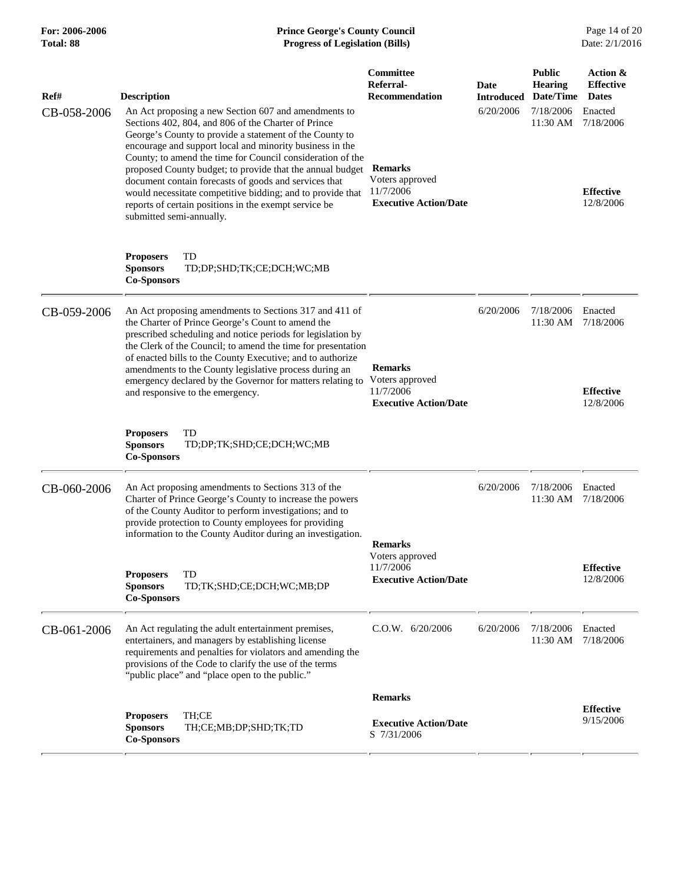## **For: 2006-2006 Prince George's County Council** Page 14 of 20<br> **Prince George's County Council** Page 14 of 20<br> **Progress of Legislation (Bills)** Date: 2/1/2016 **Total: 88 Progress of Legislation (Bills)**

| Ref#        | Description                                                                                                                                                                                                                                                                                                                                                                                                                                                                                                                                                               | Committee<br>Referral-<br><b>Recommendation</b>                                | Date<br>Introduced | <b>Public</b><br><b>Hearing</b><br>Date/Time | Action &<br><b>Effective</b><br><b>Dates</b>          |
|-------------|---------------------------------------------------------------------------------------------------------------------------------------------------------------------------------------------------------------------------------------------------------------------------------------------------------------------------------------------------------------------------------------------------------------------------------------------------------------------------------------------------------------------------------------------------------------------------|--------------------------------------------------------------------------------|--------------------|----------------------------------------------|-------------------------------------------------------|
| CB-058-2006 | An Act proposing a new Section 607 and amendments to<br>Sections 402, 804, and 806 of the Charter of Prince<br>George's County to provide a statement of the County to<br>encourage and support local and minority business in the<br>County; to amend the time for Council consideration of the<br>proposed County budget; to provide that the annual budget<br>document contain forecasts of goods and services that<br>would necessitate competitive bidding; and to provide that<br>reports of certain positions in the exempt service be<br>submitted semi-annually. | <b>Remarks</b><br>Voters approved<br>11/7/2006<br><b>Executive Action/Date</b> | 6/20/2006          | 7/18/2006<br>11:30 AM                        | Enacted<br>7/18/2006<br><b>Effective</b><br>12/8/2006 |
|             | TD<br><b>Proposers</b><br><b>Sponsors</b><br>TD;DP;SHD;TK;CE;DCH;WC;MB<br><b>Co-Sponsors</b>                                                                                                                                                                                                                                                                                                                                                                                                                                                                              |                                                                                |                    |                                              |                                                       |
| CB-059-2006 | An Act proposing amendments to Sections 317 and 411 of<br>the Charter of Prince George's Count to amend the<br>prescribed scheduling and notice periods for legislation by<br>the Clerk of the Council; to amend the time for presentation<br>of enacted bills to the County Executive; and to authorize<br>amendments to the County legislative process during an<br>emergency declared by the Governor for matters relating to<br>and responsive to the emergency.                                                                                                      | <b>Remarks</b><br>Voters approved<br>11/7/2006<br><b>Executive Action/Date</b> | 6/20/2006          | 7/18/2006<br>11:30 AM                        | Enacted<br>7/18/2006<br><b>Effective</b><br>12/8/2006 |
|             | <b>Proposers</b><br>TD<br><b>Sponsors</b><br>TD;DP;TK;SHD;CE;DCH;WC;MB<br><b>Co-Sponsors</b>                                                                                                                                                                                                                                                                                                                                                                                                                                                                              |                                                                                |                    |                                              |                                                       |
| CB-060-2006 | An Act proposing amendments to Sections 313 of the<br>Charter of Prince George's County to increase the powers<br>of the County Auditor to perform investigations; and to<br>provide protection to County employees for providing<br>information to the County Auditor during an investigation.                                                                                                                                                                                                                                                                           | <b>Remarks</b>                                                                 | 6/20/2006          | 7/18/2006<br>$11:30$ AM                      | Enacted<br>7/18/2006                                  |
|             | TD<br><b>Proposers</b><br><b>Sponsors</b><br>TD;TK;SHD;CE;DCH;WC;MB;DP<br><b>Co-Sponsors</b>                                                                                                                                                                                                                                                                                                                                                                                                                                                                              | Voters approved<br>11/7/2006<br><b>Executive Action/Date</b>                   |                    |                                              | <b>Effective</b><br>12/8/2006                         |
| CB-061-2006 | An Act regulating the adult entertainment premises,<br>entertainers, and managers by establishing license<br>requirements and penalties for violators and amending the<br>provisions of the Code to clarify the use of the terms<br>"public place" and "place open to the public."                                                                                                                                                                                                                                                                                        | $C.0.W.$ 6/20/2006                                                             | 6/20/2006          | 7/18/2006<br>11:30 AM                        | Enacted<br>7/18/2006                                  |
|             |                                                                                                                                                                                                                                                                                                                                                                                                                                                                                                                                                                           | <b>Remarks</b>                                                                 |                    |                                              |                                                       |
|             | TH;CE<br><b>Proposers</b><br><b>Sponsors</b><br>TH;CE;MB;DP;SHD;TK;TD<br><b>Co-Sponsors</b>                                                                                                                                                                                                                                                                                                                                                                                                                                                                               | <b>Executive Action/Date</b><br>S 7/31/2006                                    |                    |                                              | <b>Effective</b><br>9/15/2006                         |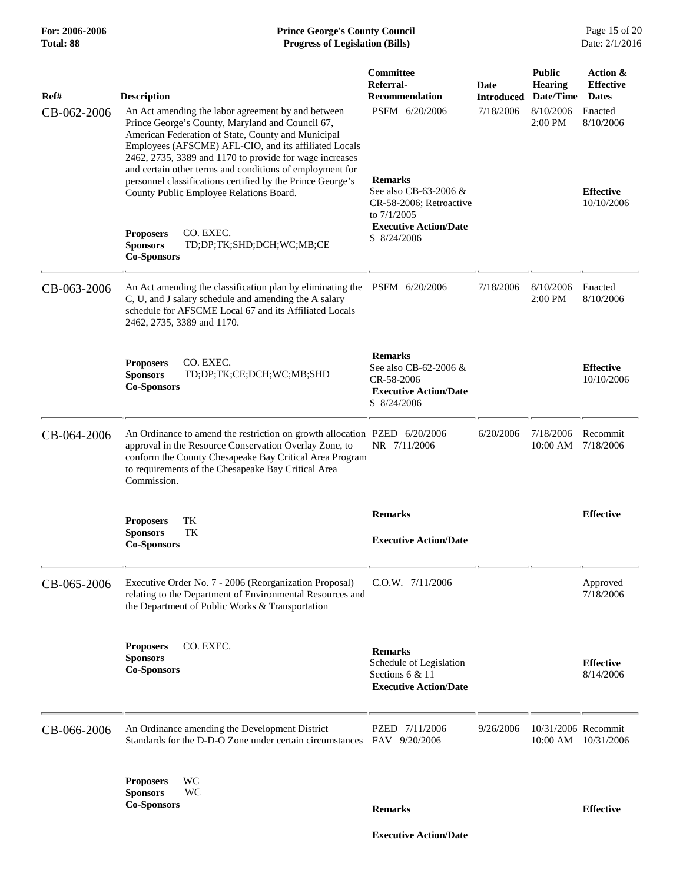| Ref#        | <b>Description</b>                                                                                                                                                                                                                                                                                                                                                                                         | Committee<br>Referral-<br><b>Recommendation</b>                                                                  | Date<br><b>Introduced</b> | <b>Public</b><br><b>Hearing</b><br>Date/Time | Action &<br><b>Effective</b><br><b>Dates</b> |
|-------------|------------------------------------------------------------------------------------------------------------------------------------------------------------------------------------------------------------------------------------------------------------------------------------------------------------------------------------------------------------------------------------------------------------|------------------------------------------------------------------------------------------------------------------|---------------------------|----------------------------------------------|----------------------------------------------|
| CB-062-2006 | An Act amending the labor agreement by and between<br>Prince George's County, Maryland and Council 67,<br>American Federation of State, County and Municipal<br>Employees (AFSCME) AFL-CIO, and its affiliated Locals<br>2462, 2735, 3389 and 1170 to provide for wage increases<br>and certain other terms and conditions of employment for<br>personnel classifications certified by the Prince George's | PSFM 6/20/2006<br><b>Remarks</b>                                                                                 | 7/18/2006                 | 8/10/2006<br>2:00 PM                         | Enacted<br>8/10/2006                         |
|             | County Public Employee Relations Board.<br>CO. EXEC.<br><b>Proposers</b><br><b>Sponsors</b><br>TD;DP;TK;SHD;DCH;WC;MB;CE                                                                                                                                                                                                                                                                                   | See also CB-63-2006 &<br>CR-58-2006; Retroactive<br>to $7/1/2005$<br><b>Executive Action/Date</b><br>S 8/24/2006 |                           |                                              | <b>Effective</b><br>10/10/2006               |
|             | <b>Co-Sponsors</b>                                                                                                                                                                                                                                                                                                                                                                                         |                                                                                                                  |                           |                                              |                                              |
| CB-063-2006 | An Act amending the classification plan by eliminating the PSFM 6/20/2006<br>C, U, and J salary schedule and amending the A salary<br>schedule for AFSCME Local 67 and its Affiliated Locals<br>2462, 2735, 3389 and 1170.                                                                                                                                                                                 |                                                                                                                  | 7/18/2006                 | 8/10/2006<br>$2:00 \text{ PM}$               | Enacted<br>8/10/2006                         |
|             | CO. EXEC.<br><b>Proposers</b><br><b>Sponsors</b><br>TD;DP;TK;CE;DCH;WC;MB;SHD<br><b>Co-Sponsors</b>                                                                                                                                                                                                                                                                                                        | <b>Remarks</b><br>See also CB-62-2006 &<br>CR-58-2006<br><b>Executive Action/Date</b><br>S 8/24/2006             |                           |                                              | <b>Effective</b><br>10/10/2006               |
| CB-064-2006 | An Ordinance to amend the restriction on growth allocation PZED 6/20/2006<br>approval in the Resource Conservation Overlay Zone, to<br>conform the County Chesapeake Bay Critical Area Program<br>to requirements of the Chesapeake Bay Critical Area<br>Commission.                                                                                                                                       | NR 7/11/2006                                                                                                     | 6/20/2006                 | 7/18/2006<br>10:00 AM                        | Recommit<br>7/18/2006                        |
|             | TK<br><b>Proposers</b><br>TK<br><b>Sponsors</b><br><b>Co-Sponsors</b>                                                                                                                                                                                                                                                                                                                                      | <b>Remarks</b><br><b>Executive Action/Date</b>                                                                   |                           |                                              | <b>Effective</b>                             |
| CB-065-2006 | Executive Order No. 7 - 2006 (Reorganization Proposal)<br>relating to the Department of Environmental Resources and<br>the Department of Public Works & Transportation                                                                                                                                                                                                                                     | $C.0.W.$ $7/11/2006$                                                                                             |                           |                                              | Approved<br>7/18/2006                        |
|             | CO. EXEC.<br><b>Proposers</b><br><b>Sponsors</b><br><b>Co-Sponsors</b>                                                                                                                                                                                                                                                                                                                                     | <b>Remarks</b><br>Schedule of Legislation<br>Sections 6 & 11<br><b>Executive Action/Date</b>                     |                           |                                              | <b>Effective</b><br>8/14/2006                |
| CB-066-2006 | An Ordinance amending the Development District<br>Standards for the D-D-O Zone under certain circumstances                                                                                                                                                                                                                                                                                                 | PZED 7/11/2006<br>FAV 9/20/2006                                                                                  | 9/26/2006                 | 10/31/2006 Recommit                          | 10:00 AM 10/31/2006                          |
|             | WC<br><b>Proposers</b><br>WC<br><b>Sponsors</b><br><b>Co-Sponsors</b>                                                                                                                                                                                                                                                                                                                                      | <b>Remarks</b>                                                                                                   |                           |                                              | <b>Effective</b>                             |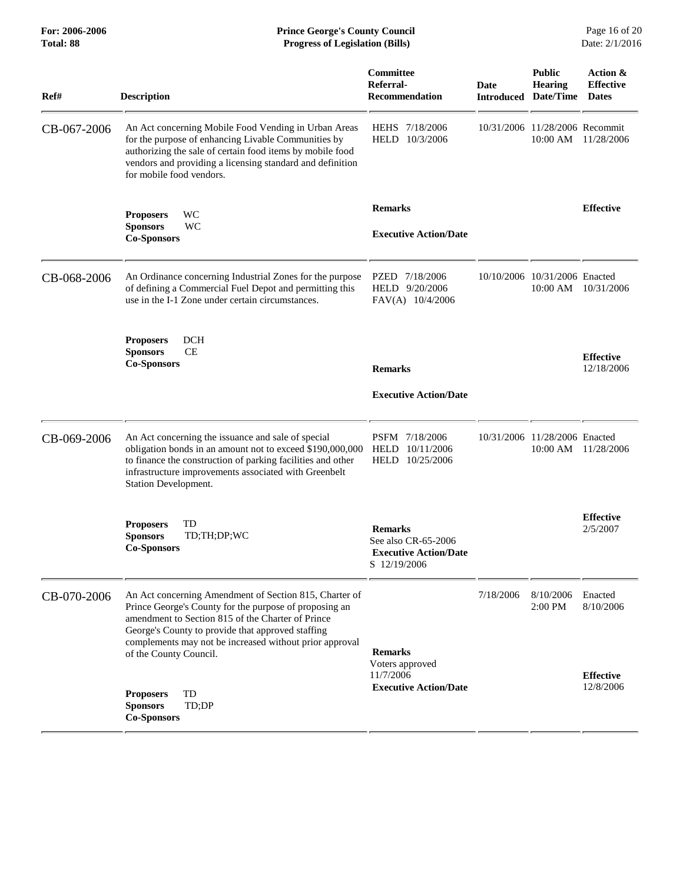| Ref#        | <b>Description</b>                                                                                                                                                                                                                                                                                              | Committee<br>Referral-<br><b>Recommendation</b>                                       | Date<br><b>Introduced</b> | <b>Public</b><br><b>Hearing</b><br>Date/Time | Action &<br><b>Effective</b><br><b>Dates</b> |
|-------------|-----------------------------------------------------------------------------------------------------------------------------------------------------------------------------------------------------------------------------------------------------------------------------------------------------------------|---------------------------------------------------------------------------------------|---------------------------|----------------------------------------------|----------------------------------------------|
| CB-067-2006 | An Act concerning Mobile Food Vending in Urban Areas<br>for the purpose of enhancing Livable Communities by<br>authorizing the sale of certain food items by mobile food<br>vendors and providing a licensing standard and definition<br>for mobile food vendors.                                               | HEHS 7/18/2006<br>HELD 10/3/2006                                                      |                           | 10/31/2006 11/28/2006 Recommit<br>10:00 AM   | 11/28/2006                                   |
|             | WC<br><b>Proposers</b><br>WC<br><b>Sponsors</b><br><b>Co-Sponsors</b>                                                                                                                                                                                                                                           | <b>Remarks</b><br><b>Executive Action/Date</b>                                        |                           |                                              | <b>Effective</b>                             |
| CB-068-2006 | An Ordinance concerning Industrial Zones for the purpose<br>of defining a Commercial Fuel Depot and permitting this<br>use in the I-1 Zone under certain circumstances.                                                                                                                                         | PZED 7/18/2006<br>HELD 9/20/2006<br>FAV(A) 10/4/2006                                  |                           | 10/10/2006 10/31/2006 Enacted<br>$10:00$ AM  | 10/31/2006                                   |
|             | <b>DCH</b><br><b>Proposers</b><br><b>Sponsors</b><br><b>CE</b><br><b>Co-Sponsors</b>                                                                                                                                                                                                                            | <b>Remarks</b><br><b>Executive Action/Date</b>                                        |                           |                                              | <b>Effective</b><br>12/18/2006               |
| CB-069-2006 | An Act concerning the issuance and sale of special<br>obligation bonds in an amount not to exceed \$190,000,000<br>to finance the construction of parking facilities and other<br>infrastructure improvements associated with Greenbelt<br>Station Development.                                                 | PSFM 7/18/2006<br>HELD<br>10/11/2006<br>HELD 10/25/2006                               |                           | 10/31/2006 11/28/2006 Enacted<br>10:00 AM    | 11/28/2006                                   |
|             | TD<br><b>Proposers</b><br><b>Sponsors</b><br>TD;TH;DP;WC<br><b>Co-Sponsors</b>                                                                                                                                                                                                                                  | <b>Remarks</b><br>See also CR-65-2006<br><b>Executive Action/Date</b><br>S 12/19/2006 |                           |                                              | <b>Effective</b><br>2/5/2007                 |
| CB-070-2006 | An Act concerning Amendment of Section 815, Charter of<br>Prince George's County for the purpose of proposing an<br>amendment to Section 815 of the Charter of Prince<br>George's County to provide that approved staffing<br>complements may not be increased without prior approval<br>of the County Council. | <b>Remarks</b><br>Voters approved<br>11/7/2006                                        | 7/18/2006                 | 8/10/2006<br>$2:00$ PM                       | Enacted<br>8/10/2006<br><b>Effective</b>     |
|             | TD<br><b>Proposers</b><br>TD;DP<br><b>Sponsors</b><br><b>Co-Sponsors</b>                                                                                                                                                                                                                                        | <b>Executive Action/Date</b>                                                          |                           |                                              | 12/8/2006                                    |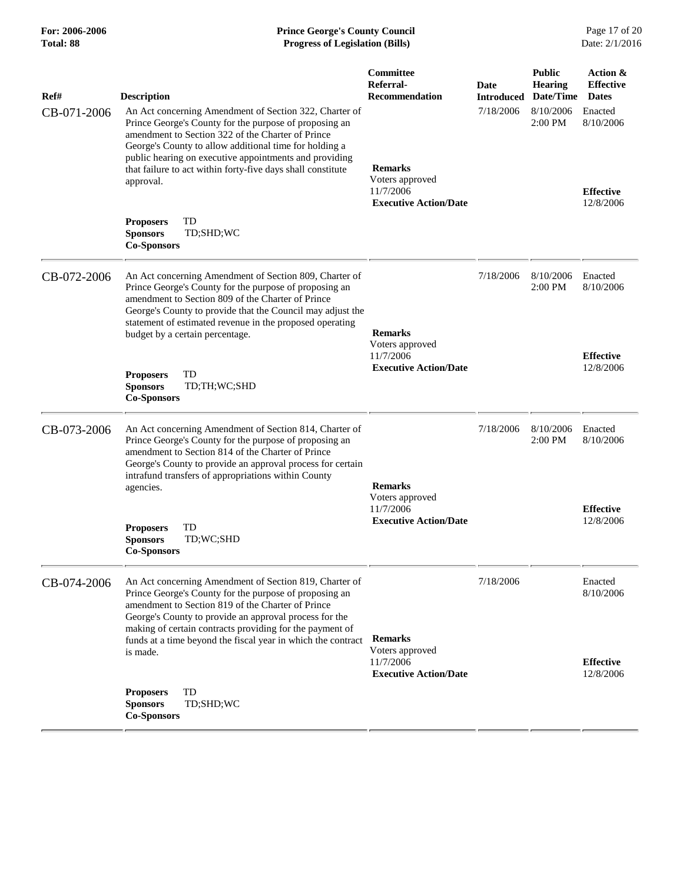| For: 2006-2006 |
|----------------|
| Total: 88      |

#### **Prince George's County Council** Page 17 of 20<br>**Progress of Legislation (Bills)** Date: 2/1/2016  $Progress$  of Legislation (Bills)

| Ref#<br>CB-071-2006 | <b>Description</b><br>An Act concerning Amendment of Section 322, Charter of                                                                                                                                                                                                                                                                                            | Committee<br>Referral-<br><b>Recommendation</b>                                | Date<br><b>Introduced</b><br>7/18/2006 | <b>Public</b><br><b>Hearing</b><br>Date/Time<br>8/10/2006 | Action &<br><b>Effective</b><br><b>Dates</b><br>Enacted |
|---------------------|-------------------------------------------------------------------------------------------------------------------------------------------------------------------------------------------------------------------------------------------------------------------------------------------------------------------------------------------------------------------------|--------------------------------------------------------------------------------|----------------------------------------|-----------------------------------------------------------|---------------------------------------------------------|
|                     | Prince George's County for the purpose of proposing an<br>amendment to Section 322 of the Charter of Prince<br>George's County to allow additional time for holding a<br>public hearing on executive appointments and providing<br>that failure to act within forty-five days shall constitute<br>approval.                                                             | <b>Remarks</b><br>Voters approved<br>11/7/2006<br><b>Executive Action/Date</b> |                                        | 2:00 PM                                                   | 8/10/2006<br><b>Effective</b><br>12/8/2006              |
|                     | <b>Proposers</b><br>TD<br>TD;SHD;WC<br><b>Sponsors</b><br><b>Co-Sponsors</b>                                                                                                                                                                                                                                                                                            |                                                                                |                                        |                                                           |                                                         |
| CB-072-2006         | An Act concerning Amendment of Section 809, Charter of<br>Prince George's County for the purpose of proposing an<br>amendment to Section 809 of the Charter of Prince<br>George's County to provide that the Council may adjust the<br>statement of estimated revenue in the proposed operating<br>budget by a certain percentage.                                      | <b>Remarks</b><br>Voters approved<br>11/7/2006<br><b>Executive Action/Date</b> | 7/18/2006                              | 8/10/2006<br>2:00 PM                                      | Enacted<br>8/10/2006                                    |
|                     | TD<br><b>Proposers</b><br><b>Sponsors</b><br>TD;TH;WC;SHD<br><b>Co-Sponsors</b>                                                                                                                                                                                                                                                                                         |                                                                                |                                        |                                                           | <b>Effective</b><br>12/8/2006                           |
| CB-073-2006         | An Act concerning Amendment of Section 814, Charter of<br>Prince George's County for the purpose of proposing an<br>amendment to Section 814 of the Charter of Prince<br>George's County to provide an approval process for certain<br>intrafund transfers of appropriations within County<br>agencies.                                                                 | <b>Remarks</b><br>Voters approved<br>11/7/2006<br><b>Executive Action/Date</b> | 7/18/2006                              | 8/10/2006<br>2:00 PM                                      | Enacted<br>8/10/2006                                    |
|                     | TD<br><b>Proposers</b><br><b>Sponsors</b><br>TD;WC;SHD<br><b>Co-Sponsors</b>                                                                                                                                                                                                                                                                                            |                                                                                |                                        |                                                           | <b>Effective</b><br>12/8/2006                           |
| CB-074-2006         | An Act concerning Amendment of Section 819, Charter of<br>Prince George's County for the purpose of proposing an<br>amendment to Section 819 of the Charter of Prince<br>George's County to provide an approval process for the<br>making of certain contracts providing for the payment of<br>funds at a time beyond the fiscal year in which the contract<br>is made. | <b>Remarks</b><br>Voters approved<br>11/7/2006                                 | 7/18/2006                              |                                                           | Enacted<br>8/10/2006<br><b>Effective</b>                |
|                     | TD<br><b>Proposers</b><br><b>Sponsors</b><br>TD;SHD;WC<br><b>Co-Sponsors</b>                                                                                                                                                                                                                                                                                            | <b>Executive Action/Date</b>                                                   |                                        |                                                           | 12/8/2006                                               |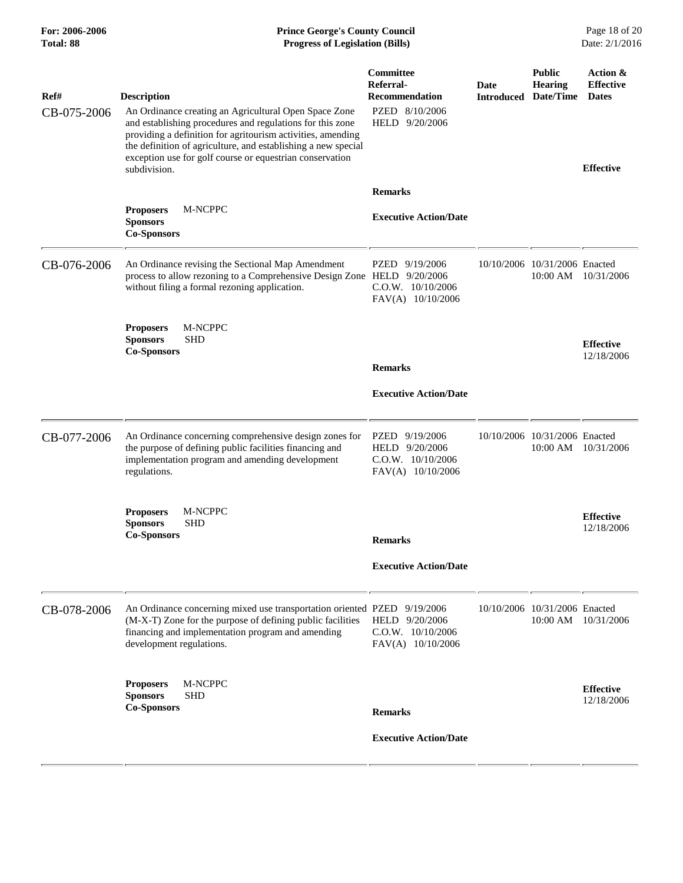| For: 2006-2006<br>Total: 88 | <b>Prince George's County Council</b><br><b>Progress of Legislation (Bills)</b>                                                                                                                                                                                          |                                                                                     |                           | Page 18 of 20<br>Date: 2/1/2016              |                                              |
|-----------------------------|--------------------------------------------------------------------------------------------------------------------------------------------------------------------------------------------------------------------------------------------------------------------------|-------------------------------------------------------------------------------------|---------------------------|----------------------------------------------|----------------------------------------------|
| Ref#<br>CB-075-2006         | <b>Description</b><br>An Ordinance creating an Agricultural Open Space Zone<br>and establishing procedures and regulations for this zone<br>providing a definition for agritourism activities, amending<br>the definition of agriculture, and establishing a new special | <b>Committee</b><br>Referral-<br>Recommendation<br>PZED 8/10/2006<br>HELD 9/20/2006 | Date<br><b>Introduced</b> | <b>Public</b><br><b>Hearing</b><br>Date/Time | Action &<br><b>Effective</b><br><b>Dates</b> |
|                             | exception use for golf course or equestrian conservation<br>subdivision.                                                                                                                                                                                                 |                                                                                     |                           |                                              | <b>Effective</b>                             |
|                             | M-NCPPC<br><b>Proposers</b><br><b>Sponsors</b><br><b>Co-Sponsors</b>                                                                                                                                                                                                     | <b>Remarks</b><br><b>Executive Action/Date</b>                                      |                           |                                              |                                              |
| CB-076-2006                 | An Ordinance revising the Sectional Map Amendment<br>process to allow rezoning to a Comprehensive Design Zone HELD 9/20/2006<br>without filing a formal rezoning application.                                                                                            | PZED 9/19/2006<br>$C.0.W.$ 10/10/2006<br>FAV(A) 10/10/2006                          |                           | 10/10/2006 10/31/2006 Enacted                | 10:00 AM 10/31/2006                          |
|                             | M-NCPPC<br><b>Proposers</b><br><b>Sponsors</b><br><b>SHD</b><br><b>Co-Sponsors</b>                                                                                                                                                                                       | <b>Remarks</b>                                                                      |                           |                                              | <b>Effective</b><br>12/18/2006               |
|                             |                                                                                                                                                                                                                                                                          | <b>Executive Action/Date</b>                                                        |                           |                                              |                                              |
| CB-077-2006                 | An Ordinance concerning comprehensive design zones for<br>the purpose of defining public facilities financing and<br>implementation program and amending development<br>regulations.                                                                                     | PZED 9/19/2006<br>HELD 9/20/2006<br>$C.0.W.$ $10/10/2006$<br>$FAV(A)$ 10/10/2006    |                           | 10/10/2006 10/31/2006 Enacted                | 10:00 AM 10/31/2006                          |
|                             | M-NCPPC<br><b>Proposers</b><br><b>Sponsors</b><br><b>SHD</b><br><b>Co-Sponsors</b>                                                                                                                                                                                       | <b>Remarks</b>                                                                      |                           |                                              | <b>Effective</b><br>12/18/2006               |
|                             |                                                                                                                                                                                                                                                                          | <b>Executive Action/Date</b>                                                        |                           |                                              |                                              |
| CB-078-2006                 | An Ordinance concerning mixed use transportation oriented PZED 9/19/2006<br>(M-X-T) Zone for the purpose of defining public facilities<br>financing and implementation program and amending<br>development regulations.                                                  | HELD 9/20/2006<br>$C.0.W.$ 10/10/2006<br>FAV(A) 10/10/2006                          |                           | 10/10/2006 10/31/2006 Enacted                | 10:00 AM 10/31/2006                          |
|                             | <b>Proposers</b><br>M-NCPPC<br><b>SHD</b><br><b>Sponsors</b><br><b>Co-Sponsors</b>                                                                                                                                                                                       | <b>Remarks</b>                                                                      |                           |                                              | <b>Effective</b><br>12/18/2006               |
|                             |                                                                                                                                                                                                                                                                          | <b>Executive Action/Date</b>                                                        |                           |                                              |                                              |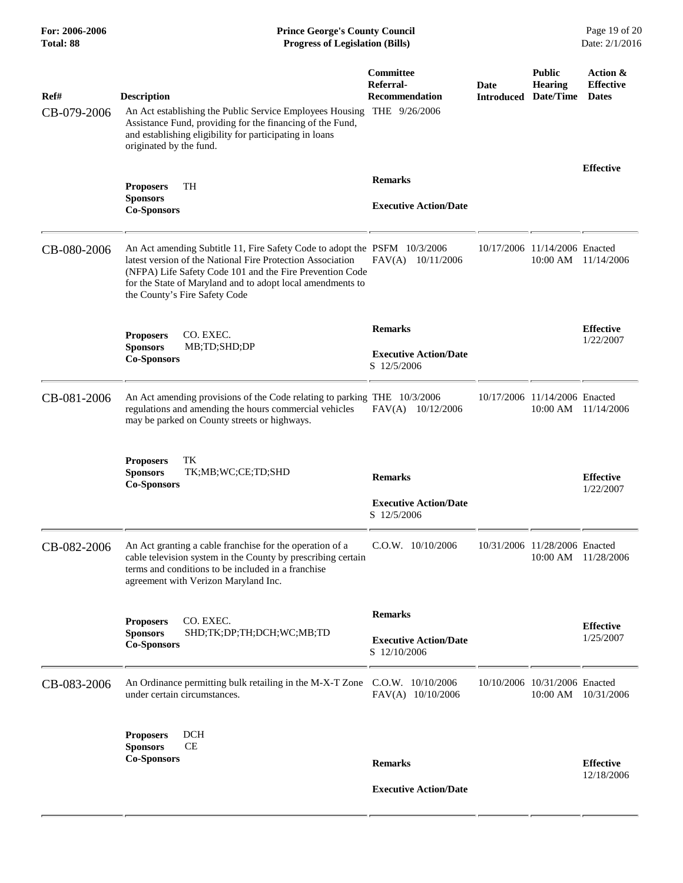| For: 2006-2006<br><b>Total: 88</b> | <b>Prince George's County Council</b><br>Date: 2/1/2016<br><b>Progress of Legislation (Bills)</b>                                                                                                                                                                                                  |                                                                |                                     |                                           |                                              |
|------------------------------------|----------------------------------------------------------------------------------------------------------------------------------------------------------------------------------------------------------------------------------------------------------------------------------------------------|----------------------------------------------------------------|-------------------------------------|-------------------------------------------|----------------------------------------------|
| Ref#<br>CB-079-2006                | <b>Description</b><br>An Act establishing the Public Service Employees Housing THE 9/26/2006<br>Assistance Fund, providing for the financing of the Fund,<br>and establishing eligibility for participating in loans<br>originated by the fund.                                                    | <b>Committee</b><br>Referral-<br><b>Recommendation</b>         | Date<br><b>Introduced Date/Time</b> | <b>Public</b><br><b>Hearing</b>           | Action &<br><b>Effective</b><br><b>Dates</b> |
|                                    | TH<br><b>Proposers</b><br><b>Sponsors</b><br><b>Co-Sponsors</b>                                                                                                                                                                                                                                    | <b>Remarks</b><br><b>Executive Action/Date</b>                 |                                     |                                           | <b>Effective</b>                             |
| CB-080-2006                        | An Act amending Subtitle 11, Fire Safety Code to adopt the PSFM 10/3/2006<br>latest version of the National Fire Protection Association<br>(NFPA) Life Safety Code 101 and the Fire Prevention Code<br>for the State of Maryland and to adopt local amendments to<br>the County's Fire Safety Code | FAV(A) 10/11/2006                                              |                                     | 10/17/2006 11/14/2006 Enacted<br>10:00 AM | 11/14/2006                                   |
|                                    | CO. EXEC.<br><b>Proposers</b><br><b>Sponsors</b><br>MB;TD;SHD;DP<br><b>Co-Sponsors</b>                                                                                                                                                                                                             | <b>Remarks</b><br><b>Executive Action/Date</b><br>S 12/5/2006  |                                     |                                           | <b>Effective</b><br>1/22/2007                |
| CB-081-2006                        | An Act amending provisions of the Code relating to parking THE 10/3/2006<br>regulations and amending the hours commercial vehicles<br>may be parked on County streets or highways.                                                                                                                 | FAV(A) 10/12/2006                                              |                                     | 10/17/2006 11/14/2006 Enacted             | 10:00 AM 11/14/2006                          |
|                                    | TК<br><b>Proposers</b><br><b>Sponsors</b><br>TK;MB;WC;CE;TD;SHD<br><b>Co-Sponsors</b>                                                                                                                                                                                                              | <b>Remarks</b><br><b>Executive Action/Date</b><br>S 12/5/2006  |                                     |                                           | <b>Effective</b><br>1/22/2007                |
| CB-082-2006                        | An Act granting a cable franchise for the operation of a<br>cable television system in the County by prescribing certain<br>terms and conditions to be included in a franchise<br>agreement with Verizon Maryland Inc.                                                                             | $C.0.W.$ 10/10/2006                                            |                                     | 10/31/2006 11/28/2006 Enacted             | 10:00 AM 11/28/2006                          |
|                                    | CO. EXEC.<br><b>Proposers</b><br><b>Sponsors</b><br>SHD;TK;DP;TH;DCH;WC;MB;TD<br><b>Co-Sponsors</b>                                                                                                                                                                                                | <b>Remarks</b><br><b>Executive Action/Date</b><br>S 12/10/2006 |                                     |                                           | <b>Effective</b><br>1/25/2007                |
| CB-083-2006                        | An Ordinance permitting bulk retailing in the M-X-T Zone<br>under certain circumstances.                                                                                                                                                                                                           | $C.0.W.$ 10/10/2006<br>FAV(A) 10/10/2006                       |                                     | 10/10/2006 10/31/2006 Enacted<br>10:00 AM | 10/31/2006                                   |
|                                    | <b>DCH</b><br><b>Proposers</b><br>CE<br><b>Sponsors</b><br><b>Co-Sponsors</b>                                                                                                                                                                                                                      | <b>Remarks</b><br><b>Executive Action/Date</b>                 |                                     |                                           | <b>Effective</b><br>12/18/2006               |